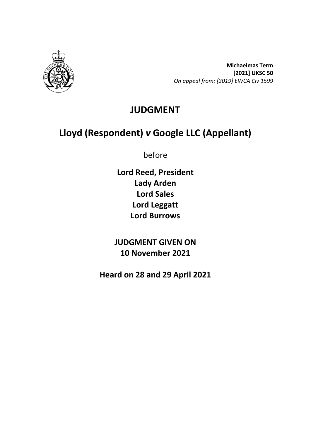

**Michaelmas Term [2021] UKSC 50** *On appeal from: [2019] EWCA Civ 1599*

# **JUDGMENT**

# **Lloyd (Respondent)** *v* **Google LLC (Appellant)**

before

**Lord Reed, President Lady Arden Lord Sales Lord Leggatt Lord Burrows**

**JUDGMENT GIVEN ON 10 November 2021**

**Heard on 28 and 29 April 2021**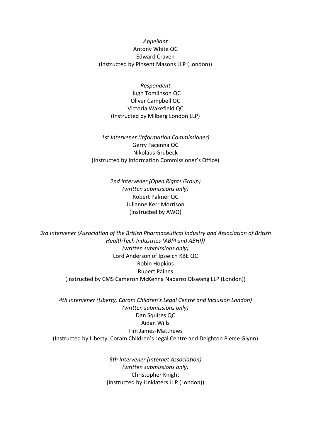*Appellant* Antony White QC Edward Craven (Instructed by Pinsent Masons LLP (London))

> *Respondent* Hugh Tomlinson QC Oliver Campbell QC Victoria Wakefield QC (Instructed by Milberg London LLP)

*1st Intervener (Information Commissioner)* Gerry Facenna QC Nikolaus Grubeck (Instructed by Information Commissioner's Office)

> *2nd Intervener (Open Rights Group) (written submissions only)* Robert Palmer QC Julianne Kerr Morrison (Instructed by AWO)

*3rd Intervener (Association of the British Pharmaceutical Industry and Association of British HealthTech Industries (ABPI and ABHI)) (written submissions only)* Lord Anderson of Ipswich KBE QC Robin Hopkins Rupert Paines (Instructed by CMS Cameron McKenna Nabarro Olswang LLP (London))

*4th Intervener (Liberty, Coram Children's Legal Centre and Inclusion London) (written submissions only)* Dan Squires QC Aidan Wills Tim James-Matthews (Instructed by Liberty, Coram Children's Legal Centre and Deighton Pierce Glynn)

> *5th Intervener (Internet Association) (written submissions only)* Christopher Knight (Instructed by Linklaters LLP (London))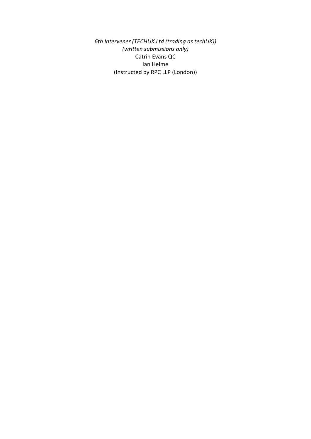*6th Intervener (TECHUK Ltd (trading as techUK)) (written submissions only)* Catrin Evans QC Ian Helme (Instructed by RPC LLP (London))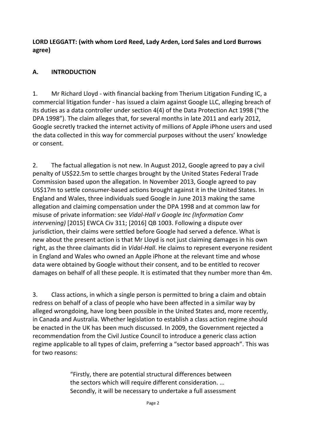**LORD LEGGATT: (with whom Lord Reed, Lady Arden, Lord Sales and Lord Burrows agree)**

#### **A. INTRODUCTION**

1. Mr Richard Lloyd - with financial backing from Therium Litigation Funding IC, a commercial litigation funder - has issued a claim against Google LLC, alleging breach of its duties as a data controller under section 4(4) of the Data Protection Act 1998 ("the DPA 1998"). The claim alleges that, for several months in late 2011 and early 2012, Google secretly tracked the internet activity of millions of Apple iPhone users and used the data collected in this way for commercial purposes without the users' knowledge or consent.

2. The factual allegation is not new. In August 2012, Google agreed to pay a civil penalty of US\$22.5m to settle charges brought by the United States Federal Trade Commission based upon the allegation. In November 2013, Google agreed to pay US\$17m to settle consumer-based actions brought against it in the United States. In England and Wales, three individuals sued Google in June 2013 making the same allegation and claiming compensation under the DPA 1998 and at common law for misuse of private information: see *Vidal-Hall v Google Inc (Information Comr intervening)* [2015] EWCA Civ 311; [2016] QB 1003. Following a dispute over jurisdiction, their claims were settled before Google had served a defence. What is new about the present action is that Mr Lloyd is not just claiming damages in his own right, as the three claimants did in *Vidal-Hall*. He claims to represent everyone resident in England and Wales who owned an Apple iPhone at the relevant time and whose data were obtained by Google without their consent, and to be entitled to recover damages on behalf of all these people. It is estimated that they number more than 4m.

3. Class actions, in which a single person is permitted to bring a claim and obtain redress on behalf of a class of people who have been affected in a similar way by alleged wrongdoing, have long been possible in the United States and, more recently, in Canada and Australia. Whether legislation to establish a class action regime should be enacted in the UK has been much discussed. In 2009, the Government rejected a recommendation from the Civil Justice Council to introduce a generic class action regime applicable to all types of claim, preferring a "sector based approach". This was for two reasons:

> "Firstly, there are potential structural differences between the sectors which will require different consideration. … Secondly, it will be necessary to undertake a full assessment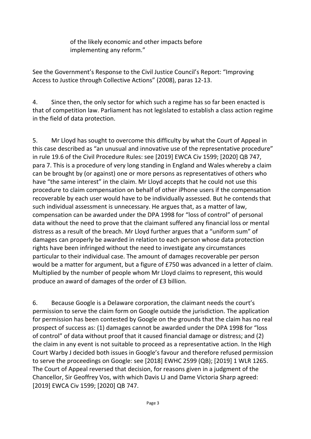of the likely economic and other impacts before implementing any reform."

See the Government's Response to the Civil Justice Council's Report: "Improving Access to Justice through Collective Actions" (2008), paras 12-13.

4. Since then, the only sector for which such a regime has so far been enacted is that of competition law. Parliament has not legislated to establish a class action regime in the field of data protection.

5. Mr Lloyd has sought to overcome this difficulty by what the Court of Appeal in this case described as "an unusual and innovative use of the representative procedure" in rule 19.6 of the Civil Procedure Rules: see [2019] EWCA Civ 1599; [2020] QB 747, para 7. This is a procedure of very long standing in England and Wales whereby a claim can be brought by (or against) one or more persons as representatives of others who have "the same interest" in the claim. Mr Lloyd accepts that he could not use this procedure to claim compensation on behalf of other iPhone users if the compensation recoverable by each user would have to be individually assessed. But he contends that such individual assessment is unnecessary. He argues that, as a matter of law, compensation can be awarded under the DPA 1998 for "loss of control" of personal data without the need to prove that the claimant suffered any financial loss or mental distress as a result of the breach. Mr Lloyd further argues that a "uniform sum" of damages can properly be awarded in relation to each person whose data protection rights have been infringed without the need to investigate any circumstances particular to their individual case. The amount of damages recoverable per person would be a matter for argument, but a figure of £750 was advanced in a letter of claim. Multiplied by the number of people whom Mr Lloyd claims to represent, this would produce an award of damages of the order of £3 billion.

6. Because Google is a Delaware corporation, the claimant needs the court's permission to serve the claim form on Google outside the jurisdiction. The application for permission has been contested by Google on the grounds that the claim has no real prospect of success as: (1) damages cannot be awarded under the DPA 1998 for "loss of control" of data without proof that it caused financial damage or distress; and (2) the claim in any event is not suitable to proceed as a representative action. In the High Court Warby J decided both issues in Google's favour and therefore refused permission to serve the proceedings on Google: see [2018] EWHC 2599 (QB); [2019] 1 WLR 1265. The Court of Appeal reversed that decision, for reasons given in a judgment of the Chancellor, Sir Geoffrey Vos, with which Davis LJ and Dame Victoria Sharp agreed: [2019] EWCA Civ 1599; [2020] QB 747.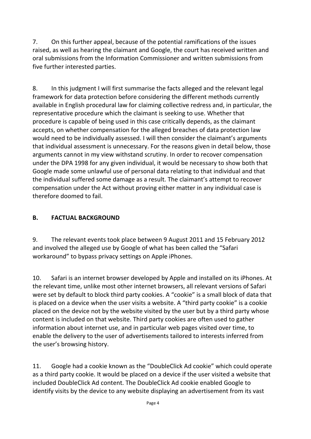7. On this further appeal, because of the potential ramifications of the issues raised, as well as hearing the claimant and Google, the court has received written and oral submissions from the Information Commissioner and written submissions from five further interested parties.

8. In this judgment I will first summarise the facts alleged and the relevant legal framework for data protection before considering the different methods currently available in English procedural law for claiming collective redress and, in particular, the representative procedure which the claimant is seeking to use. Whether that procedure is capable of being used in this case critically depends, as the claimant accepts, on whether compensation for the alleged breaches of data protection law would need to be individually assessed. I will then consider the claimant's arguments that individual assessment is unnecessary. For the reasons given in detail below, those arguments cannot in my view withstand scrutiny. In order to recover compensation under the DPA 1998 for any given individual, it would be necessary to show both that Google made some unlawful use of personal data relating to that individual and that the individual suffered some damage as a result. The claimant's attempt to recover compensation under the Act without proving either matter in any individual case is therefore doomed to fail.

#### **B. FACTUAL BACKGROUND**

9. The relevant events took place between 9 August 2011 and 15 February 2012 and involved the alleged use by Google of what has been called the "Safari workaround" to bypass privacy settings on Apple iPhones.

10. Safari is an internet browser developed by Apple and installed on its iPhones. At the relevant time, unlike most other internet browsers, all relevant versions of Safari were set by default to block third party cookies. A "cookie" is a small block of data that is placed on a device when the user visits a website. A "third party cookie" is a cookie placed on the device not by the website visited by the user but by a third party whose content is included on that website. Third party cookies are often used to gather information about internet use, and in particular web pages visited over time, to enable the delivery to the user of advertisements tailored to interests inferred from the user's browsing history.

11. Google had a cookie known as the "DoubleClick Ad cookie" which could operate as a third party cookie. It would be placed on a device if the user visited a website that included DoubleClick Ad content. The DoubleClick Ad cookie enabled Google to identify visits by the device to any website displaying an advertisement from its vast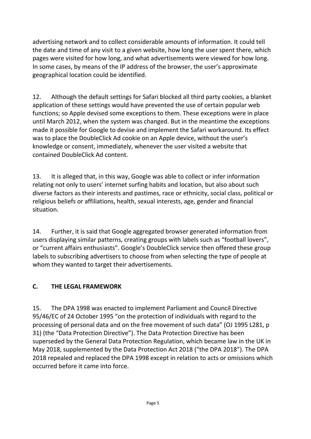advertising network and to collect considerable amounts of information. It could tell the date and time of any visit to a given website, how long the user spent there, which pages were visited for how long, and what advertisements were viewed for how long. In some cases, by means of the IP address of the browser, the user's approximate geographical location could be identified.

12. Although the default settings for Safari blocked all third party cookies, a blanket application of these settings would have prevented the use of certain popular web functions; so Apple devised some exceptions to them. These exceptions were in place until March 2012, when the system was changed. But in the meantime the exceptions made it possible for Google to devise and implement the Safari workaround. Its effect was to place the DoubleClick Ad cookie on an Apple device, without the user's knowledge or consent, immediately, whenever the user visited a website that contained DoubleClick Ad content.

13. It is alleged that, in this way, Google was able to collect or infer information relating not only to users' internet surfing habits and location, but also about such diverse factors as their interests and pastimes, race or ethnicity, social class, political or religious beliefs or affiliations, health, sexual interests, age, gender and financial situation.

14. Further, it is said that Google aggregated browser generated information from users displaying similar patterns, creating groups with labels such as "football lovers", or "current affairs enthusiasts". Google's DoubleClick service then offered these group labels to subscribing advertisers to choose from when selecting the type of people at whom they wanted to target their advertisements.

## **C. THE LEGAL FRAMEWORK**

15. The DPA 1998 was enacted to implement Parliament and Council Directive 95/46/EC of 24 October 1995 "on the protection of individuals with regard to the processing of personal data and on the free movement of such data" (OJ 1995 L281, p 31) (the "Data Protection Directive"). The Data Protection Directive has been superseded by the General Data Protection Regulation, which became law in the UK in May 2018, supplemented by the Data Protection Act 2018 ("the DPA 2018"). The DPA 2018 repealed and replaced the DPA 1998 except in relation to acts or omissions which occurred before it came into force.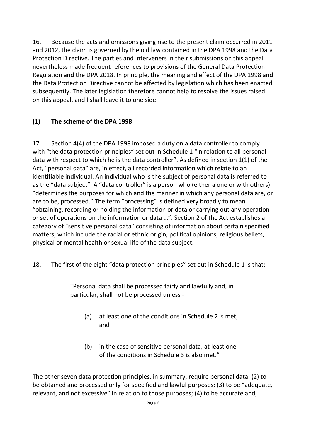16. Because the acts and omissions giving rise to the present claim occurred in 2011 and 2012, the claim is governed by the old law contained in the DPA 1998 and the Data Protection Directive. The parties and interveners in their submissions on this appeal nevertheless made frequent references to provisions of the General Data Protection Regulation and the DPA 2018. In principle, the meaning and effect of the DPA 1998 and the Data Protection Directive cannot be affected by legislation which has been enacted subsequently. The later legislation therefore cannot help to resolve the issues raised on this appeal, and I shall leave it to one side.

#### **(1) The scheme of the DPA 1998**

17. Section 4(4) of the DPA 1998 imposed a duty on a data controller to comply with "the data protection principles" set out in Schedule 1 "in relation to all personal data with respect to which he is the data controller". As defined in section 1(1) of the Act, "personal data" are, in effect, all recorded information which relate to an identifiable individual. An individual who is the subject of personal data is referred to as the "data subject". A "data controller" is a person who (either alone or with others) "determines the purposes for which and the manner in which any personal data are, or are to be, processed." The term "processing" is defined very broadly to mean "obtaining, recording or holding the information or data or carrying out any operation or set of operations on the information or data …". Section 2 of the Act establishes a category of "sensitive personal data" consisting of information about certain specified matters, which include the racial or ethnic origin, political opinions, religious beliefs, physical or mental health or sexual life of the data subject.

18. The first of the eight "data protection principles" set out in Schedule 1 is that:

"Personal data shall be processed fairly and lawfully and, in particular, shall not be processed unless -

- (a) at least one of the conditions in Schedule 2 is met, and
- (b) in the case of sensitive personal data, at least one of the conditions in Schedule 3 is also met."

The other seven data protection principles, in summary, require personal data: (2) to be obtained and processed only for specified and lawful purposes; (3) to be "adequate, relevant, and not excessive" in relation to those purposes; (4) to be accurate and,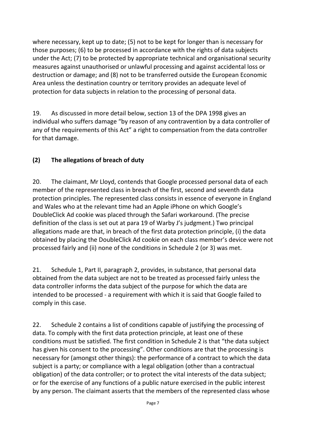where necessary, kept up to date; (5) not to be kept for longer than is necessary for those purposes; (6) to be processed in accordance with the rights of data subjects under the Act; (7) to be protected by appropriate technical and organisational security measures against unauthorised or unlawful processing and against accidental loss or destruction or damage; and (8) not to be transferred outside the European Economic Area unless the destination country or territory provides an adequate level of protection for data subjects in relation to the processing of personal data.

19. As discussed in more detail below, section 13 of the DPA 1998 gives an individual who suffers damage "by reason of any contravention by a data controller of any of the requirements of this Act" a right to compensation from the data controller for that damage.

## **(2) The allegations of breach of duty**

20. The claimant, Mr Lloyd, contends that Google processed personal data of each member of the represented class in breach of the first, second and seventh data protection principles. The represented class consists in essence of everyone in England and Wales who at the relevant time had an Apple iPhone on which Google's DoubleClick Ad cookie was placed through the Safari workaround. (The precise definition of the class is set out at para 19 of Warby J's judgment.) Two principal allegations made are that, in breach of the first data protection principle, (i) the data obtained by placing the DoubleClick Ad cookie on each class member's device were not processed fairly and (ii) none of the conditions in Schedule 2 (or 3) was met.

21. Schedule 1, Part II, paragraph 2, provides, in substance, that personal data obtained from the data subject are not to be treated as processed fairly unless the data controller informs the data subject of the purpose for which the data are intended to be processed - a requirement with which it is said that Google failed to comply in this case.

22. Schedule 2 contains a list of conditions capable of justifying the processing of data. To comply with the first data protection principle, at least one of these conditions must be satisfied. The first condition in Schedule 2 is that "the data subject has given his consent to the processing". Other conditions are that the processing is necessary for (amongst other things): the performance of a contract to which the data subject is a party; or compliance with a legal obligation (other than a contractual obligation) of the data controller; or to protect the vital interests of the data subject; or for the exercise of any functions of a public nature exercised in the public interest by any person. The claimant asserts that the members of the represented class whose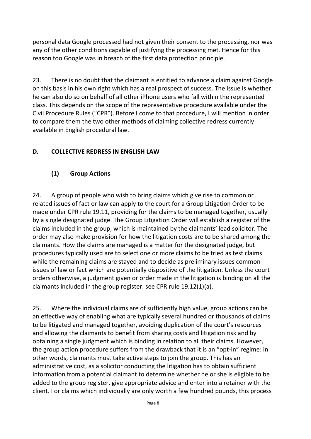personal data Google processed had not given their consent to the processing, nor was any of the other conditions capable of justifying the processing met. Hence for this reason too Google was in breach of the first data protection principle.

23. There is no doubt that the claimant is entitled to advance a claim against Google on this basis in his own right which has a real prospect of success. The issue is whether he can also do so on behalf of all other iPhone users who fall within the represented class. This depends on the scope of the representative procedure available under the Civil Procedure Rules ("CPR"). Before I come to that procedure, I will mention in order to compare them the two other methods of claiming collective redress currently available in English procedural law.

#### **D. COLLECTIVE REDRESS IN ENGLISH LAW**

#### **(1) Group Actions**

24. A group of people who wish to bring claims which give rise to common or related issues of fact or law can apply to the court for a Group Litigation Order to be made under CPR rule 19.11, providing for the claims to be managed together, usually by a single designated judge. The Group Litigation Order will establish a register of the claims included in the group, which is maintained by the claimants' lead solicitor. The order may also make provision for how the litigation costs are to be shared among the claimants. How the claims are managed is a matter for the designated judge, but procedures typically used are to select one or more claims to be tried as test claims while the remaining claims are stayed and to decide as preliminary issues common issues of law or fact which are potentially dispositive of the litigation. Unless the court orders otherwise, a judgment given or order made in the litigation is binding on all the claimants included in the group register: see CPR rule 19.12(1)(a).

25. Where the individual claims are of sufficiently high value, group actions can be an effective way of enabling what are typically several hundred or thousands of claims to be litigated and managed together, avoiding duplication of the court's resources and allowing the claimants to benefit from sharing costs and litigation risk and by obtaining a single judgment which is binding in relation to all their claims. However, the group action procedure suffers from the drawback that it is an "opt-in" regime: in other words, claimants must take active steps to join the group. This has an administrative cost, as a solicitor conducting the litigation has to obtain sufficient information from a potential claimant to determine whether he or she is eligible to be added to the group register, give appropriate advice and enter into a retainer with the client. For claims which individually are only worth a few hundred pounds, this process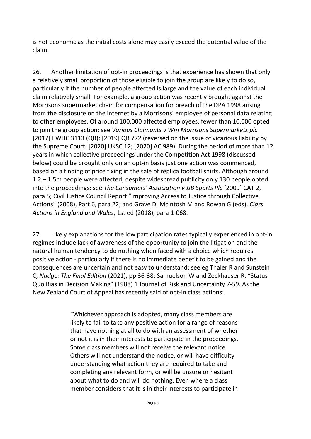is not economic as the initial costs alone may easily exceed the potential value of the claim.

26. Another limitation of opt-in proceedings is that experience has shown that only a relatively small proportion of those eligible to join the group are likely to do so, particularly if the number of people affected is large and the value of each individual claim relatively small. For example, a group action was recently brought against the Morrisons supermarket chain for compensation for breach of the DPA 1998 arising from the disclosure on the internet by a Morrisons' employee of personal data relating to other employees. Of around 100,000 affected employees, fewer than 10,000 opted to join the group action: see *Various Claimants v Wm Morrisons Supermarkets plc* [2017] EWHC 3113 (QB); [2019] QB 772 (reversed on the issue of vicarious liability by the Supreme Court: [2020] UKSC 12; [2020] AC 989). During the period of more than 12 years in which collective proceedings under the Competition Act 1998 (discussed below) could be brought only on an opt-in basis just one action was commenced, based on a finding of price fixing in the sale of replica football shirts. Although around 1.2 – 1.5m people were affected, despite widespread publicity only 130 people opted into the proceedings: see *The Consumers' Association v JJB Sports Plc* [2009] CAT 2, para 5; Civil Justice Council Report "Improving Access to Justice through Collective Actions" (2008), Part 6, para 22; and Grave D, McIntosh M and Rowan G (eds), *Class Actions in England and Wales*, 1st ed (2018), para 1-068.

27. Likely explanations for the low participation rates typically experienced in opt-in regimes include lack of awareness of the opportunity to join the litigation and the natural human tendency to do nothing when faced with a choice which requires positive action - particularly if there is no immediate benefit to be gained and the consequences are uncertain and not easy to understand: see eg Thaler R and Sunstein C, *Nudge: The Final Edition* (2021), pp 36-38; Samuelson W and Zeckhauser R, "Status Quo Bias in Decision Making" (1988) 1 Journal of Risk and Uncertainty 7-59. As the New Zealand Court of Appeal has recently said of opt-in class actions:

> "Whichever approach is adopted, many class members are likely to fail to take any positive action for a range of reasons that have nothing at all to do with an assessment of whether or not it is in their interests to participate in the proceedings. Some class members will not receive the relevant notice. Others will not understand the notice, or will have difficulty understanding what action they are required to take and completing any relevant form, or will be unsure or hesitant about what to do and will do nothing. Even where a class member considers that it is in their interests to participate in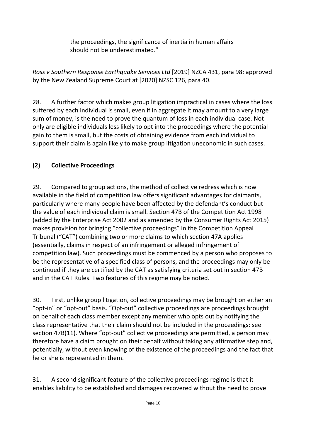the proceedings, the significance of inertia in human affairs should not be underestimated."

*Ross v Southern Response Earthquake Services Ltd* [2019] NZCA 431, para 98; approved by the New Zealand Supreme Court at [2020] NZSC 126, para 40.

28. A further factor which makes group litigation impractical in cases where the loss suffered by each individual is small, even if in aggregate it may amount to a very large sum of money, is the need to prove the quantum of loss in each individual case. Not only are eligible individuals less likely to opt into the proceedings where the potential gain to them is small, but the costs of obtaining evidence from each individual to support their claim is again likely to make group litigation uneconomic in such cases.

## **(2) Collective Proceedings**

29. Compared to group actions, the method of collective redress which is now available in the field of competition law offers significant advantages for claimants, particularly where many people have been affected by the defendant's conduct but the value of each individual claim is small. Section 47B of the Competition Act 1998 (added by the Enterprise Act 2002 and as amended by the Consumer Rights Act 2015) makes provision for bringing "collective proceedings" in the Competition Appeal Tribunal ("CAT") combining two or more claims to which section 47A applies (essentially, claims in respect of an infringement or alleged infringement of competition law). Such proceedings must be commenced by a person who proposes to be the representative of a specified class of persons, and the proceedings may only be continued if they are certified by the CAT as satisfying criteria set out in section 47B and in the CAT Rules. Two features of this regime may be noted.

30. First, unlike group litigation, collective proceedings may be brought on either an "opt-in" or "opt-out" basis. "Opt-out" collective proceedings are proceedings brought on behalf of each class member except any member who opts out by notifying the class representative that their claim should not be included in the proceedings: see [section 47B\(11\).](http://uk.westlaw.com/Document/I2A37FD80E45011DA8D70A0E70A78ED65/View/FullText.html?originationContext=document&transitionType=DocumentItem&vr=3.0&rs=PLUK1.0&contextData=(sc.DocLink)) Where "opt-out" collective proceedings are permitted, a person may therefore have a claim brought on their behalf without taking any affirmative step and, potentially, without even knowing of the existence of the proceedings and the fact that he or she is represented in them.

31. A second significant feature of the collective proceedings regime is that it enables liability to be established and damages recovered without the need to prove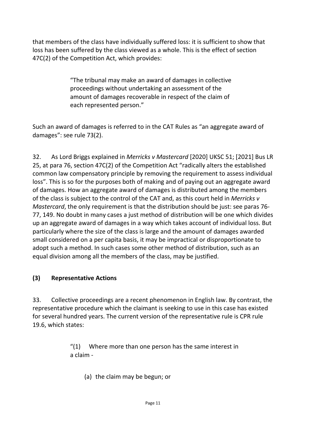that members of the class have individually suffered loss: it is sufficient to show that loss has been suffered by the class viewed as a whole. This is the effect of section 47C(2) of the Competition Act, which provides:

> "The tribunal may make an award of damages in collective proceedings without undertaking an assessment of the amount of damages recoverable in respect of the claim of each represented person."

Such an award of damages is referred to in the CAT Rules as "an aggregate award of damages": see [rule 73\(2\).](http://uk.westlaw.com/Document/I8E7FF370576D11E58CC4865AD6276167/View/FullText.html?originationContext=document&transitionType=DocumentItem&vr=3.0&rs=PLUK1.0&contextData=(sc.DocLink))

32. As Lord Briggs explained in *Merricks v Mastercard* [2020] UKSC 51; [2021] Bus LR 25, at para 76, section 47C(2) of the Competition Act "radically alters the established common law compensatory principle by removing the requirement to assess individual loss". This is so for the purposes both of making and of paying out an aggregate award of damages. How an aggregate award of damages is distributed among the members of the class is subject to the control of the CAT and, as this court held in *Merricks v Mastercard*, the only requirement is that the distribution should be just: see paras 76- 77, 149. No doubt in many cases a just method of distribution will be one which divides up an aggregate award of damages in a way which takes account of individual loss. But particularly where the size of the class is large and the amount of damages awarded small considered on a per capita basis, it may be impractical or disproportionate to adopt such a method. In such cases some other method of distribution, such as an equal division among all the members of the class, may be justified.

#### **(3) Representative Actions**

33. Collective proceedings are a recent phenomenon in English law. By contrast, the representative procedure which the claimant is seeking to use in this case has existed for several hundred years. The current version of the representative rule is CPR rule 19.6, which states:

> $''(1)$  Where more than one person has the same interest in a claim -

(a) the claim may be begun; or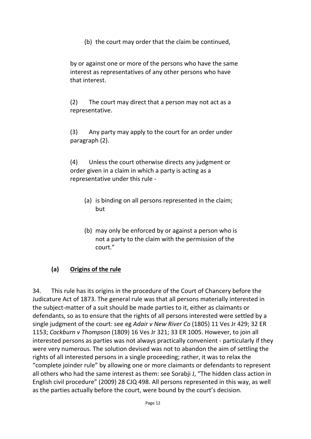(b) the court may order that the claim be continued,

by or against one or more of the persons who have the same interest as representatives of any other persons who have that interest.

(2) The court may direct that a person may not act as a representative.

(3) Any party may apply to the court for an order under paragraph (2).

(4) Unless the court otherwise directs any judgment or order given in a claim in which a party is acting as a representative under this rule -

- (a) is binding on all persons represented in the claim; but
- (b) may only be enforced by or against a person who is not a party to the claim with the permission of the court."

#### **(a) Origins of the rule**

34. This rule has its origins in the procedure of the Court of Chancery before the Judicature Act of 1873. The general rule was that all persons materially interested in the subject-matter of a suit should be made parties to it, either as claimants or defendants, so as to ensure that the rights of all persons interested were settled by a single judgment of the court: see eg *Adair v New River Co* (1805) 11 Ves Jr 429; 32 ER 1153; *Cockburn v Thompson* (1809) 16 Ves Jr 321; 33 ER 1005. However, to join all interested persons as parties was not always practically convenient - particularly if they were very numerous. The solution devised was not to abandon the aim of settling the rights of all interested persons in a single proceeding; rather, it was to relax the "complete joinder rule" by allowing one or more claimants or defendants to represent all others who had the same interest as them: see Sorabji J, "The hidden class action in English civil procedure" (2009) 28 CJQ 498. All persons represented in this way, as well as the parties actually before the court, were bound by the court's decision.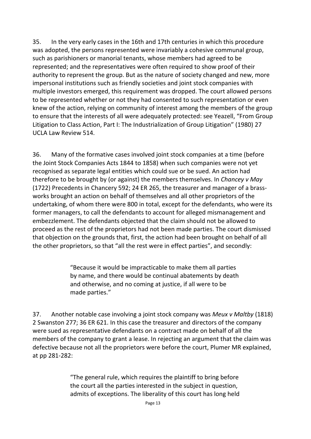35. In the very early cases in the 16th and 17th centuries in which this procedure was adopted, the persons represented were invariably a cohesive communal group, such as parishioners or manorial tenants, whose members had agreed to be represented; and the representatives were often required to show proof of their authority to represent the group. But as the nature of society changed and new, more impersonal institutions such as friendly societies and joint stock companies with multiple investors emerged, this requirement was dropped. The court allowed persons to be represented whether or not they had consented to such representation or even knew of the action, relying on community of interest among the members of the group to ensure that the interests of all were adequately protected: see Yeazell, "From Group Litigation to Class Action, Part I: The Industrialization of Group Litigation" (1980) 27 UCLA Law Review 514.

36. Many of the formative cases involved joint stock companies at a time (before the Joint Stock Companies Acts 1844 to 1858) when such companies were not yet recognised as separate legal entities which could sue or be sued. An action had therefore to be brought by (or against) the members themselves. In *Chancey v May* (1722) Precedents in Chancery 592; 24 ER 265, the treasurer and manager of a brassworks brought an action on behalf of themselves and all other proprietors of the undertaking, of whom there were 800 in total, except for the defendants, who were its former managers, to call the defendants to account for alleged mismanagement and embezzlement. The defendants objected that the claim should not be allowed to proceed as the rest of the proprietors had not been made parties. The court dismissed that objection on the grounds that, first, the action had been brought on behalf of all the other proprietors, so that "all the rest were in effect parties", and secondly:

> "Because it would be impracticable to make them all parties by name, and there would be continual abatements by death and otherwise, and no coming at justice, if all were to be made parties."

37. Another notable case involving a joint stock company was *Meux v Maltby* (1818) 2 Swanston 277; 36 ER 621. In this case the treasurer and directors of the company were sued as representative defendants on a contract made on behalf of all the members of the company to grant a lease. In rejecting an argument that the claim was defective because not all the proprietors were before the court, Plumer MR explained, at pp 281-282:

> "The general rule, which requires the plaintiff to bring before the court all the parties interested in the subject in question, admits of exceptions. The liberality of this court has long held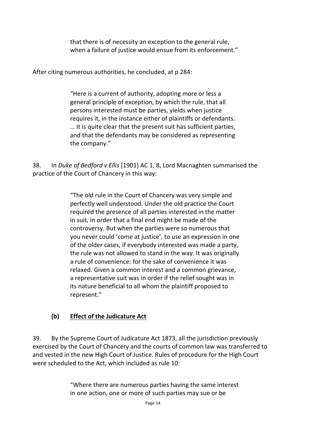that there is of necessity an exception to the general rule, when a failure of justice would ensue from its enforcement."

After citing numerous authorities, he concluded, at p 284:

"Here is a current of authority, adopting more or less a general principle of exception, by which the rule, that all persons interested must be parties, yields when justice requires it, in the instance either of plaintiffs or defendants. … It is quite clear that the present suit has sufficient parties, and that the defendants may be considered as representing the company."

38. In *Duke of Bedford v Ellis* [1901] AC 1, 8, Lord Macnaghten summarised the practice of the Court of Chancery in this way:

> "The old rule in the Court of Chancery was very simple and perfectly well understood. Under the old practice the Court required the presence of all parties interested in the matter in suit, in order that a final end might be made of the controversy. But when the parties were so numerous that you never could 'come at justice', to use an expression in one of the older cases, if everybody interested was made a party, the rule was not allowed to stand in the way. It was originally a rule of convenience: for the sake of convenience it was relaxed. Given a common interest and a common grievance, a representative suit was in order if the relief sought was in its nature beneficial to all whom the plaintiff proposed to represent."

#### **(b) Effect of the Judicature Act**

39. By the Supreme Court of Judicature Act 1873, all the jurisdiction previously exercised by the Court of Chancery and the courts of common law was transferred to and vested in the new High Court of Justice. Rules of procedure for the High Court were scheduled to the Act, which included as rule 10:

> "Where there are numerous parties having the same interest in one action, one or more of such parties may sue or be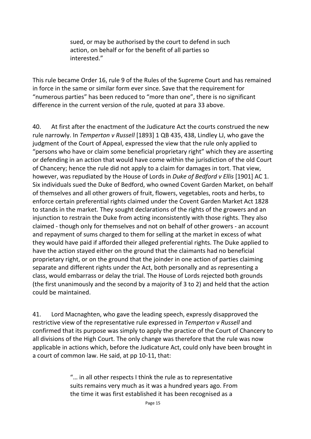sued, or may be authorised by the court to defend in such action, on behalf or for the benefit of all parties so interested."

This rule became Order 16, rule 9 of the Rules of the Supreme Court and has remained in force in the same or similar form ever since. Save that the requirement for "numerous parties" has been reduced to "more than one", there is no significant difference in the current version of the rule, quoted at para 33 above.

40. At first after the enactment of the Judicature Act the courts construed the new rule narrowly. In *Temperton v Russell* [1893] 1 QB 435, 438, Lindley LJ, who gave the judgment of the Court of Appeal, expressed the view that the rule only applied to "persons who have or claim some beneficial proprietary right" which they are asserting or defending in an action that would have come within the jurisdiction of the old Court of Chancery; hence the rule did not apply to a claim for damages in tort. That view, however, was repudiated by the House of Lords in *Duke of Bedford v Ellis* [1901] AC 1. Six individuals sued the Duke of Bedford, who owned Covent Garden Market, on behalf of themselves and all other growers of fruit, flowers, vegetables, roots and herbs, to enforce certain preferential rights claimed under the Covent Garden Market Act 1828 to stands in the market. They sought declarations of the rights of the growers and an injunction to restrain the Duke from acting inconsistently with those rights. They also claimed - though only for themselves and not on behalf of other growers - an account and repayment of sums charged to them for selling at the market in excess of what they would have paid if afforded their alleged preferential rights. The Duke applied to have the action stayed either on the ground that the claimants had no beneficial proprietary right, or on the ground that the joinder in one action of parties claiming separate and different rights under the Act, both personally and as representing a class, would embarrass or delay the trial. The House of Lords rejected both grounds (the first unanimously and the second by a majority of 3 to 2) and held that the action could be maintained.

41. Lord Macnaghten, who gave the leading speech, expressly disapproved the restrictive view of the representative rule expressed in *Temperton v Russell* and confirmed that its purpose was simply to apply the practice of the Court of Chancery to all divisions of the High Court. The only change was therefore that the rule was now applicable in actions which, before the Judicature Act, could only have been brought in a court of common law. He said, at pp 10-11, that:

> "… in all other respects I think the rule as to representative suits remains very much as it was a hundred years ago. From the time it was first established it has been recognised as a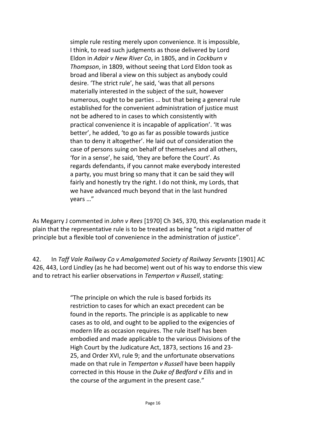simple rule resting merely upon convenience. It is impossible, I think, to read such judgments as those delivered by Lord Eldon in *Adair v New River Co*, in 1805, and in *Cockburn v Thompson*, in 1809, without seeing that Lord Eldon took as broad and liberal a view on this subject as anybody could desire. 'The strict rule', he said, 'was that all persons materially interested in the subject of the suit, however numerous, ought to be parties … but that being a general rule established for the convenient administration of justice must not be adhered to in cases to which consistently with practical convenience it is incapable of application'. 'It was better', he added, 'to go as far as possible towards justice than to deny it altogether'. He laid out of consideration the case of persons suing on behalf of themselves and all others, 'for in a sense', he said, 'they are before the Court'. As regards defendants, if you cannot make everybody interested a party, you must bring so many that it can be said they will fairly and honestly try the right. I do not think, my Lords, that we have advanced much beyond that in the last hundred years …"

As Megarry J commented in *John v Rees* [1970] Ch 345, 370, this explanation made it plain that the representative rule is to be treated as being "not a rigid matter of principle but a flexible tool of convenience in the administration of justice".

42. In *Taff Vale Railway Co v Amalgamated Society of Railway Servants* [1901] AC 426, 443, Lord Lindley (as he had become) went out of his way to endorse this view and to retract his earlier observations in *Temperton v Russell*, stating:

> "The principle on which the rule is based forbids its restriction to cases for which an exact precedent can be found in the reports. The principle is as applicable to new cases as to old, and ought to be applied to the exigencies of modern life as occasion requires. The rule itself has been embodied and made applicable to the various Divisions of the High Court by the Judicature Act, 1873, sections 16 and 23- 25, and Order XVI, rule 9; and the unfortunate observations made on that rule in *Temperton v Russell* have been happily corrected in this House in the *Duke of Bedford v Ellis* and in the course of the argument in the present case."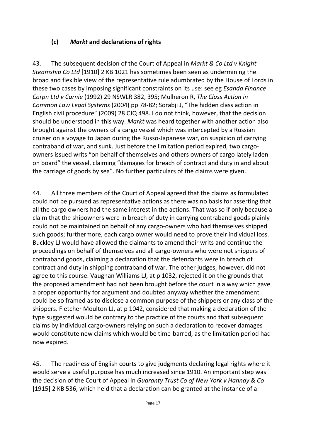#### **(c)** *Markt* **and declarations of rights**

43. The subsequent decision of the Court of Appeal in *Markt & Co Ltd v Knight Steamship Co Ltd* [1910] 2 KB 1021 has sometimes been seen as undermining the broad and flexible view of the representative rule adumbrated by the House of Lords in these two cases by imposing significant constraints on its use: see eg *Esanda Finance Corpn Ltd v Carnie* (1992) 29 NSWLR 382, 395; Mulheron R, *The Class Action in Common Law Legal Systems* (2004) pp 78-82; Sorabji J, "The hidden class action in English civil procedure" (2009) 28 CJQ 498. I do not think, however, that the decision should be understood in this way. *Markt* was heard together with another action also brought against the owners of a cargo vessel which was intercepted by a Russian cruiser on a voyage to Japan during the Russo-Japanese war, on suspicion of carrying contraband of war, and sunk. Just before the limitation period expired, two cargoowners issued writs "on behalf of themselves and others owners of cargo lately laden on board" the vessel, claiming "damages for breach of contract and duty in and about the carriage of goods by sea". No further particulars of the claims were given.

44. All three members of the Court of Appeal agreed that the claims as formulated could not be pursued as representative actions as there was no basis for asserting that all the cargo owners had the same interest in the actions. That was so if only because a claim that the shipowners were in breach of duty in carrying contraband goods plainly could not be maintained on behalf of any cargo-owners who had themselves shipped such goods; furthermore, each cargo owner would need to prove their individual loss. Buckley LJ would have allowed the claimants to amend their writs and continue the proceedings on behalf of themselves and all cargo-owners who were not shippers of contraband goods, claiming a declaration that the defendants were in breach of contract and duty in shipping contraband of war. The other judges, however, did not agree to this course. Vaughan Williams LJ, at p 1032, rejected it on the grounds that the proposed amendment had not been brought before the court in a way which gave a proper opportunity for argument and doubted anyway whether the amendment could be so framed as to disclose a common purpose of the shippers or any class of the shippers. Fletcher Moulton LJ, at p 1042, considered that making a declaration of the type suggested would be contrary to the practice of the courts and that subsequent claims by individual cargo-owners relying on such a declaration to recover damages would constitute new claims which would be time-barred, as the limitation period had now expired.

45. The readiness of English courts to give judgments declaring legal rights where it would serve a useful purpose has much increased since 1910. An important step was the decision of the Court of Appeal in *Guaranty Trust Co of New York v Hannay & Co* [1915] 2 KB 536, which held that a declaration can be granted at the instance of a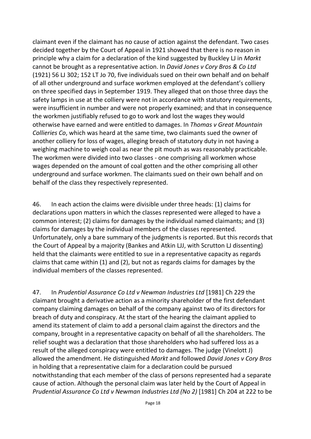claimant even if the claimant has no cause of action against the defendant. Two cases decided together by the Court of Appeal in 1921 showed that there is no reason in principle why a claim for a declaration of the kind suggested by Buckley LJ in *Markt* cannot be brought as a representative action. In *David Jones v Cory Bros & Co Ltd* (1921) 56 LJ 302; 152 LT Jo 70, five individuals sued on their own behalf and on behalf of all other underground and surface workmen employed at the defendant's colliery on three specified days in September 1919. They alleged that on those three days the safety lamps in use at the colliery were not in accordance with statutory requirements, were insufficient in number and were not properly examined; and that in consequence the workmen justifiably refused to go to work and lost the wages they would otherwise have earned and were entitled to damages. In *Thomas v Great Mountain Collieries Co*, which was heard at the same time, two claimants sued the owner of another colliery for loss of wages, alleging breach of statutory duty in not having a weighing machine to weigh coal as near the pit mouth as was reasonably practicable. The workmen were divided into two classes - one comprising all workmen whose wages depended on the amount of coal gotten and the other comprising all other underground and surface workmen. The claimants sued on their own behalf and on behalf of the class they respectively represented.

46. In each action the claims were divisible under three heads: (1) claims for declarations upon matters in which the classes represented were alleged to have a common interest; (2) claims for damages by the individual named claimants; and (3) claims for damages by the individual members of the classes represented. Unfortunately, only a bare summary of the judgments is reported. But this records that the Court of Appeal by a majority (Bankes and Atkin LJJ, with Scrutton LJ dissenting) held that the claimants were entitled to sue in a representative capacity as regards claims that came within (1) and (2), but not as regards claims for damages by the individual members of the classes represented.

47. In *Prudential Assurance Co Ltd v Newman Industries Ltd* [1981] Ch 229 the claimant brought a derivative action as a minority shareholder of the first defendant company claiming damages on behalf of the company against two of its directors for breach of duty and conspiracy. At the start of the hearing the claimant applied to amend its statement of claim to add a personal claim against the directors and the company, brought in a representative capacity on behalf of all the shareholders. The relief sought was a declaration that those shareholders who had suffered loss as a result of the alleged conspiracy were entitled to damages. The judge (Vinelott J) allowed the amendment. He distinguished *Markt* and followed *David Jones v Cory Bros* in holding that a representative claim for a declaration could be pursued notwithstanding that each member of the class of persons represented had a separate cause of action. Although the personal claim was later held by the Court of Appeal in *Prudential Assurance Co Ltd v Newman Industries Ltd (No 2)* [1981] Ch 204 at 222 to be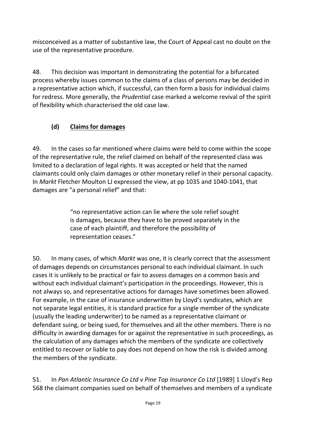misconceived as a matter of substantive law, the Court of Appeal cast no doubt on the use of the representative procedure.

48. This decision was important in demonstrating the potential for a bifurcated process whereby issues common to the claims of a class of persons may be decided in a representative action which, if successful, can then form a basis for individual claims for redress. More generally, the *Prudential* case marked a welcome revival of the spirit of flexibility which characterised the old case law.

# **(d) Claims for damages**

49. In the cases so far mentioned where claims were held to come within the scope of the representative rule, the relief claimed on behalf of the represented class was limited to a declaration of legal rights. It was accepted or held that the named claimants could only claim damages or other monetary relief in their personal capacity. In *Markt* Fletcher Moulton LJ expressed the view, at pp 1035 and 1040-1041, that damages are "a personal relief" and that:

> "no representative action can lie where the sole relief sought is damages, because they have to be proved separately in the case of each plaintiff, and therefore the possibility of representation ceases."

50. In many cases, of which *Markt* was one, it is clearly correct that the assessment of damages depends on circumstances personal to each individual claimant. In such cases it is unlikely to be practical or fair to assess damages on a common basis and without each individual claimant's participation in the proceedings. However, this is not always so, and representative actions for damages have sometimes been allowed. For example, in the case of insurance underwritten by Lloyd's syndicates, which are not separate legal entities, it is standard practice for a single member of the syndicate (usually the leading underwriter) to be named as a representative claimant or defendant suing, or being sued, for themselves and all the other members. There is no difficulty in awarding damages for or against the representative in such proceedings, as the calculation of any damages which the members of the syndicate are collectively entitled to recover or liable to pay does not depend on how the risk is divided among the members of the syndicate.

51. In *Pan Atlantic Insurance Co Ltd v Pine Top Insurance Co Ltd* [1989] 1 Lloyd's Rep 568 the claimant companies sued on behalf of themselves and members of a syndicate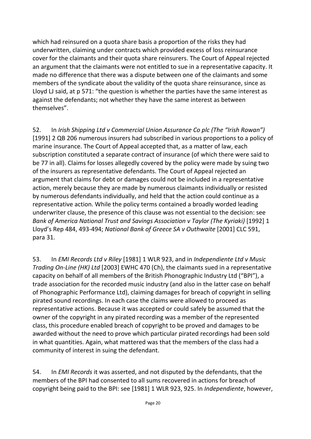which had reinsured on a quota share basis a proportion of the risks they had underwritten, claiming under contracts which provided excess of loss reinsurance cover for the claimants and their quota share reinsurers. The Court of Appeal rejected an argument that the claimants were not entitled to sue in a representative capacity. It made no difference that there was a dispute between one of the claimants and some members of the syndicate about the validity of the quota share reinsurance, since as Lloyd LJ said, at p 571: "the question is whether the parties have the same interest as against the defendants; not whether they have the same interest as between themselves".

52. In *Irish Shipping Ltd v Commercial Union Assurance Co plc (The "Irish Rowan")*  [1991] 2 QB 206 numerous insurers had subscribed in various proportions to a policy of marine insurance. The Court of Appeal accepted that, as a matter of law, each subscription constituted a separate contract of insurance (of which there were said to be 77 in all). Claims for losses allegedly covered by the policy were made by suing two of the insurers as representative defendants. The Court of Appeal rejected an argument that claims for debt or damages could not be included in a representative action, merely because they are made by numerous claimants individually or resisted by numerous defendants individually, and held that the action could continue as a representative action. While the policy terms contained a broadly worded leading underwriter clause, the presence of this clause was not essential to the decision: see *Bank of America National Trust and Savings Association v Taylor (The Kyriaki)* [1992] 1 Lloyd's Rep 484, 493-494; *National Bank of Greece SA v Outhwaite* [2001] CLC 591, para 31.

53. In *EMI Records Ltd v Riley* [1981] 1 WLR 923, and in *Independiente Ltd v Music Trading On-Line (HK) Ltd* [2003] EWHC 470 (Ch), the claimants sued in a representative capacity on behalf of all members of the British Phonographic Industry Ltd ("BPI"), a trade association for the recorded music industry (and also in the latter case on behalf of Phonographic Performance Ltd), claiming damages for breach of copyright in selling pirated sound recordings. In each case the claims were allowed to proceed as representative actions. Because it was accepted or could safely be assumed that the owner of the copyright in any pirated recording was a member of the represented class, this procedure enabled breach of copyright to be proved and damages to be awarded without the need to prove which particular pirated recordings had been sold in what quantities. Again, what mattered was that the members of the class had a community of interest in suing the defendant.

54. In *EMI Records* it was asserted, and not disputed by the defendants, that the members of the BPI had consented to all sums recovered in actions for breach of copyright being paid to the BPI: see [1981] 1 WLR 923, 925. In *Independiente*, however,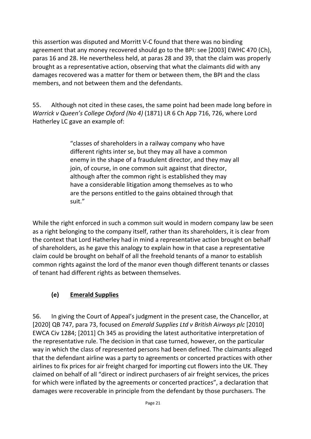this assertion was disputed and Morritt V-C found that there was no binding agreement that any money recovered should go to the BPI: see [2003] EWHC 470 (Ch), paras 16 and 28. He nevertheless held, at paras 28 and 39, that the claim was properly brought as a representative action, observing that what the claimants did with any damages recovered was a matter for them or between them, the BPI and the class members, and not between them and the defendants.

55. Although not cited in these cases, the same point had been made long before in *Warrick v Queen's College Oxford (No 4)* (1871) LR 6 Ch App 716, 726, where Lord Hatherley LC gave an example of:

> "classes of shareholders in a railway company who have different rights inter se, but they may all have a common enemy in the shape of a fraudulent director, and they may all join, of course, in one common suit against that director, although after the common right is established they may have a considerable litigation among themselves as to who are the persons entitled to the gains obtained through that suit."

While the right enforced in such a common suit would in modern company law be seen as a right belonging to the company itself, rather than its shareholders, it is clear from the context that Lord Hatherley had in mind a representative action brought on behalf of shareholders, as he gave this analogy to explain how in that case a representative claim could be brought on behalf of all the freehold tenants of a manor to establish common rights against the lord of the manor even though different tenants or classes of tenant had different rights as between themselves.

## **(e) Emerald Supplies**

56. In giving the Court of Appeal's judgment in the present case, the Chancellor, at [2020] QB 747, para 73, focused on *Emerald Supplies Ltd v British Airways plc* [2010] EWCA Civ 1284; [2011] Ch 345 as providing the latest authoritative interpretation of the representative rule. The decision in that case turned, however, on the particular way in which the class of represented persons had been defined. The claimants alleged that the defendant airline was a party to agreements or concerted practices with other airlines to fix prices for air freight charged for importing cut flowers into the UK. They claimed on behalf of all "direct or indirect purchasers of air freight services, the prices for which were inflated by the agreements or concerted practices", a declaration that damages were recoverable in principle from the defendant by those purchasers. The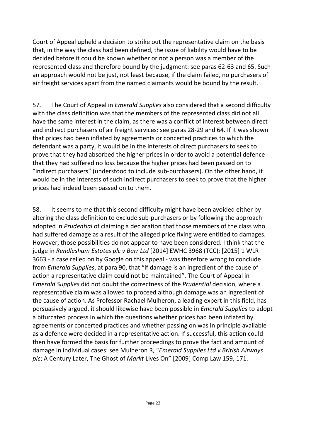Court of Appeal upheld a decision to strike out the representative claim on the basis that, in the way the class had been defined, the issue of liability would have to be decided before it could be known whether or not a person was a member of the represented class and therefore bound by the judgment: see paras 62-63 and 65. Such an approach would not be just, not least because, if the claim failed, no purchasers of air freight services apart from the named claimants would be bound by the result.

57. The Court of Appeal in *Emerald Supplies* also considered that a second difficulty with the class definition was that the members of the represented class did not all have the same interest in the claim, as there was a conflict of interest between direct and indirect purchasers of air freight services: see paras 28-29 and 64. If it was shown that prices had been inflated by agreements or concerted practices to which the defendant was a party, it would be in the interests of direct purchasers to seek to prove that they had absorbed the higher prices in order to avoid a potential defence that they had suffered no loss because the higher prices had been passed on to "indirect purchasers" (understood to include sub-purchasers). On the other hand, it would be in the interests of such indirect purchasers to seek to prove that the higher prices had indeed been passed on to them.

58. It seems to me that this second difficulty might have been avoided either by altering the class definition to exclude sub-purchasers or by following the approach adopted in *Prudential* of claiming a declaration that those members of the class who had suffered damage as a result of the alleged price fixing were entitled to damages. However, those possibilities do not appear to have been considered. I think that the judge in *Rendlesham Estates plc v Barr Ltd* [2014] EWHC 3968 (TCC); [2015] 1 WLR 3663 - a case relied on by Google on this appeal - was therefore wrong to conclude from *Emerald Supplies*, at para 90, that "if damage is an ingredient of the cause of action a representative claim could not be maintained". The Court of Appeal in *Emerald Supplies* did not doubt the correctness of the *Prudential* decision, where a representative claim was allowed to proceed although damage was an ingredient of the cause of action. As Professor Rachael Mulheron, a leading expert in this field, has persuasively argued, it should likewise have been possible in *Emerald Supplies* to adopt a bifurcated process in which the questions whether prices had been inflated by agreements or concerted practices and whether passing on was in principle available as a defence were decided in a representative action. If successful, this action could then have formed the basis for further proceedings to prove the fact and amount of damage in individual cases: see Mulheron R, "*Emerald Supplies Ltd v British Airways plc*; A Century Later, The Ghost of *Markt* Lives On" [2009] Comp Law 159, 171.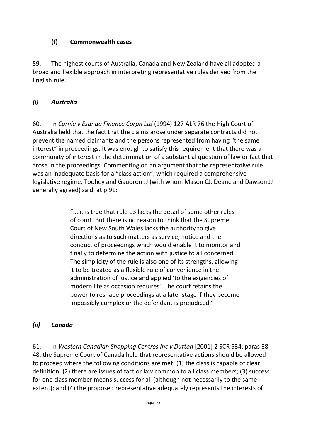#### **(f) Commonwealth cases**

59. The highest courts of Australia, Canada and New Zealand have all adopted a broad and flexible approach in interpreting representative rules derived from the English rule.

## *(i) Australia*

60. In *Carnie v Esanda Finance Corpn Ltd* (1994) 127 ALR 76 the High Court of Australia held that the fact that the claims arose under separate contracts did not prevent the named claimants and the persons represented from having "the same interest" in proceedings. It was enough to satisfy this requirement that there was a community of interest in the determination of a substantial question of law or fact that arose in the proceedings. Commenting on an argument that the representative rule was an inadequate basis for a "class action", which required a comprehensive legislative regime, Toohey and Gaudron JJ (with whom Mason CJ, Deane and Dawson JJ generally agreed) said, at p 91:

> "... it is true that rule 13 lacks the detail of some other rules of court. But there is no reason to think that the Supreme Court of New South Wales lacks the authority to give directions as to such matters as service, notice and the conduct of proceedings which would enable it to monitor and finally to determine the action with justice to all concerned. The simplicity of the rule is also one of its strengths, allowing it to be treated as a flexible rule of convenience in the administration of justice and applied 'to the exigencies of modern life as occasion requires'. The court retains the power to reshape proceedings at a later stage if they become impossibly complex or the defendant is prejudiced."

## *(ii) Canada*

61. In *Western Canadian Shopping Centres Inc v Dutton* [2001] 2 SCR 534, paras 38- 48, the Supreme Court of Canada held that representative actions should be allowed to proceed where the following conditions are met: (1) the class is capable of clear definition; (2) there are issues of fact or law common to all class members; (3) success for one class member means success for all (although not necessarily to the same extent); and (4) the proposed representative adequately represents the interests of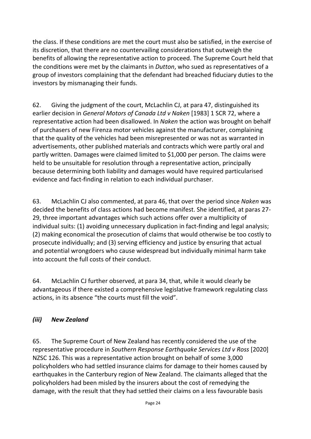the class. If these conditions are met the court must also be satisfied, in the exercise of its discretion, that there are no countervailing considerations that outweigh the benefits of allowing the representative action to proceed. The Supreme Court held that the conditions were met by the claimants in *Dutton*, who sued as representatives of a group of investors complaining that the defendant had breached fiduciary duties to the investors by mismanaging their funds.

62. Giving the judgment of the court, McLachlin CJ, at para 47, distinguished its earlier decision in *General Motors of Canada Ltd v Naken* [1983] 1 SCR 72, where a representative action had been disallowed. In *Naken* the action was brought on behalf of purchasers of new Firenza motor vehicles against the manufacturer, complaining that the quality of the vehicles had been misrepresented or was not as warranted in advertisements, other published materials and contracts which were partly oral and partly written. Damages were claimed limited to \$1,000 per person. The claims were held to be unsuitable for resolution through a representative action, principally because determining both liability and damages would have required particularised evidence and fact-finding in relation to each individual purchaser.

63. McLachlin CJ also commented, at para 46, that over the period since *Naken* was decided the benefits of class actions had become manifest. She identified, at paras 27- 29, three important advantages which such actions offer over a multiplicity of individual suits: (1) avoiding unnecessary duplication in fact-finding and legal analysis; (2) making economical the prosecution of claims that would otherwise be too costly to prosecute individually; and (3) serving efficiency and justice by ensuring that actual and potential wrongdoers who cause widespread but individually minimal harm take into account the full costs of their conduct.

64. McLachlin CJ further observed, at para 34, that, while it would clearly be advantageous if there existed a comprehensive legislative framework regulating class actions, in its absence "the courts must fill the void".

## *(iii) New Zealand*

65. The Supreme Court of New Zealand has recently considered the use of the representative procedure in *Southern Response Earthquake Services Ltd v Ross* [2020] NZSC 126. This was a representative action brought on behalf of some 3,000 policyholders who had settled insurance claims for damage to their homes caused by earthquakes in the Canterbury region of New Zealand. The claimants alleged that the policyholders had been misled by the insurers about the cost of remedying the damage, with the result that they had settled their claims on a less favourable basis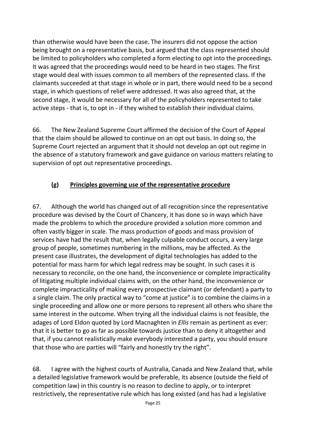than otherwise would have been the case. The insurers did not oppose the action being brought on a representative basis, but argued that the class represented should be limited to policyholders who completed a form electing to opt into the proceedings. It was agreed that the proceedings would need to be heard in two stages. The first stage would deal with issues common to all members of the represented class. If the claimants succeeded at that stage in whole or in part, there would need to be a second stage, in which questions of relief were addressed. It was also agreed that, at the second stage, it would be necessary for all of the policyholders represented to take active steps - that is, to opt in - if they wished to establish their individual claims.

66. The New Zealand Supreme Court affirmed the decision of the Court of Appeal that the claim should be allowed to continue on an opt out basis. In doing so, the Supreme Court rejected an argument that it should not develop an opt out regime in the absence of a statutory framework and gave guidance on various matters relating to supervision of opt out representative proceedings.

#### **(g) Principles governing use of the representative procedure**

67. Although the world has changed out of all recognition since the representative procedure was devised by the Court of Chancery, it has done so in ways which have made the problems to which the procedure provided a solution more common and often vastly bigger in scale. The mass production of goods and mass provision of services have had the result that, when legally culpable conduct occurs, a very large group of people, sometimes numbering in the millions, may be affected. As the present case illustrates, the development of digital technologies has added to the potential for mass harm for which legal redress may be sought. In such cases it is necessary to reconcile, on the one hand, the inconvenience or complete impracticality of litigating multiple individual claims with, on the other hand, the inconvenience or complete impracticality of making every prospective claimant (or defendant) a party to a single claim. The only practical way to "come at justice" is to combine the claims in a single proceeding and allow one or more persons to represent all others who share the same interest in the outcome. When trying all the individual claims is not feasible, the adages of Lord Eldon quoted by Lord Macnaghten in *Ellis* remain as pertinent as ever: that it is better to go as far as possible towards justice than to deny it altogether and that, if you cannot realistically make everybody interested a party, you should ensure that those who are parties will "fairly and honestly try the right".

68. I agree with the highest courts of Australia, Canada and New Zealand that, while a detailed legislative framework would be preferable, its absence (outside the field of competition law) in this country is no reason to decline to apply, or to interpret restrictively, the representative rule which has long existed (and has had a legislative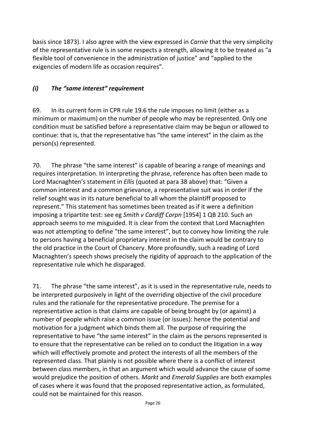basis since 1873). I also agree with the view expressed in *Carnie* that the very simplicity of the representative rule is in some respects a strength, allowing it to be treated as "a flexible tool of convenience in the administration of justice" and "applied to the exigencies of modern life as occasion requires".

#### *(i) The "same interest" requirement*

69. In its current form in CPR rule 19.6 the rule imposes no limit (either as a minimum or maximum) on the number of people who may be represented. Only one condition must be satisfied before a representative claim may be begun or allowed to continue: that is, that the representative has "the same interest" in the claim as the person(s) represented.

70. The phrase "the same interest" is capable of bearing a range of meanings and requires interpretation. In interpreting the phrase, reference has often been made to Lord Macnaghten's statement in *Ellis* (quoted at para 38 above) that: "Given a common interest and a common grievance, a representative suit was in order if the relief sought was in its nature beneficial to all whom the plaintiff proposed to represent." This statement has sometimes been treated as if it were a definition imposing a tripartite test: see eg *Smith v Cardiff Corpn* [1954] 1 QB 210. Such an approach seems to me misguided. It is clear from the context that Lord Macnaghten was not attempting to define "the same interest", but to convey how limiting the rule to persons having a beneficial proprietary interest in the claim would be contrary to the old practice in the Court of Chancery. More profoundly, such a reading of Lord Macnaghten's speech shows precisely the rigidity of approach to the application of the representative rule which he disparaged.

71. The phrase "the same interest", as it is used in the representative rule, needs to be interpreted purposively in light of the overriding objective of the civil procedure rules and the rationale for the representative procedure. The premise for a representative action is that claims are capable of being brought by (or against) a number of people which raise a common issue (or issues): hence the potential and motivation for a judgment which binds them all. The purpose of requiring the representative to have "the same interest" in the claim as the persons represented is to ensure that the representative can be relied on to conduct the litigation in a way which will effectively promote and protect the interests of all the members of the represented class. That plainly is not possible where there is a conflict of interest between class members, in that an argument which would advance the cause of some would prejudice the position of others. *Markt* and *Emerald Supplies* are both examples of cases where it was found that the proposed representative action, as formulated, could not be maintained for this reason.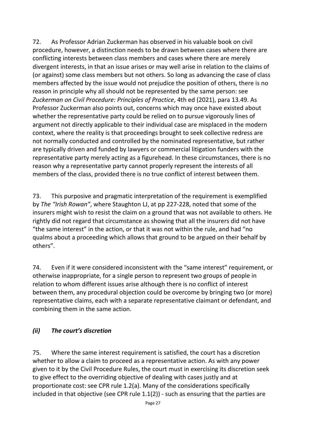72. As Professor Adrian Zuckerman has observed in his valuable book on civil procedure, however, a distinction needs to be drawn between cases where there are conflicting interests between class members and cases where there are merely divergent interests, in that an issue arises or may well arise in relation to the claims of (or against) some class members but not others. So long as advancing the case of class members affected by the issue would not prejudice the position of others, there is no reason in principle why all should not be represented by the same person: see *Zuckerman on Civil Procedure: Principles of Practice*, 4th ed (2021), para 13.49. As Professor Zuckerman also points out, concerns which may once have existed about whether the representative party could be relied on to pursue vigorously lines of argument not directly applicable to their individual case are misplaced in the modern context, where the reality is that proceedings brought to seek collective redress are not normally conducted and controlled by the nominated representative, but rather are typically driven and funded by lawyers or commercial litigation funders with the representative party merely acting as a figurehead. In these circumstances, there is no reason why a representative party cannot properly represent the interests of all members of the class, provided there is no true conflict of interest between them.

73. This purposive and pragmatic interpretation of the requirement is exemplified by *The "Irish Rowan"*, where Staughton LJ, at pp 227-228, noted that some of the insurers might wish to resist the claim on a ground that was not available to others. He rightly did not regard that circumstance as showing that all the insurers did not have "the same interest" in the action, or that it was not within the rule, and had "no qualms about a proceeding which allows that ground to be argued on their behalf by others".

74. Even if it were considered inconsistent with the "same interest" requirement, or otherwise inappropriate, for a single person to represent two groups of people in relation to whom different issues arise although there is no conflict of interest between them, any procedural objection could be overcome by bringing two (or more) representative claims, each with a separate representative claimant or defendant, and combining them in the same action.

#### *(ii) The court's discretion*

75. Where the same interest requirement is satisfied, the court has a discretion whether to allow a claim to proceed as a representative action. As with any power given to it by the Civil Procedure Rules, the court must in exercising its discretion seek to give effect to the overriding objective of dealing with cases justly and at proportionate cost: see CPR rule 1.2(a). Many of the considerations specifically included in that objective (see CPR rule 1.1(2)) - such as ensuring that the parties are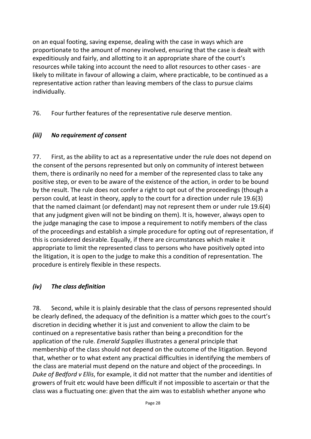on an equal footing, saving expense, dealing with the case in ways which are proportionate to the amount of money involved, ensuring that the case is dealt with expeditiously and fairly, and allotting to it an appropriate share of the court's resources while taking into account the need to allot resources to other cases - are likely to militate in favour of allowing a claim, where practicable, to be continued as a representative action rather than leaving members of the class to pursue claims individually.

76. Four further features of the representative rule deserve mention.

#### *(iii) No requirement of consent*

77. First, as the ability to act as a representative under the rule does not depend on the consent of the persons represented but only on community of interest between them, there is ordinarily no need for a member of the represented class to take any positive step, or even to be aware of the existence of the action, in order to be bound by the result. The rule does not confer a right to opt out of the proceedings (though a person could, at least in theory, apply to the court for a direction under rule 19.6(3) that the named claimant (or defendant) may not represent them or under rule 19.6(4) that any judgment given will not be binding on them). It is, however, always open to the judge managing the case to impose a requirement to notify members of the class of the proceedings and establish a simple procedure for opting out of representation, if this is considered desirable. Equally, if there are circumstances which make it appropriate to limit the represented class to persons who have positively opted into the litigation, it is open to the judge to make this a condition of representation. The procedure is entirely flexible in these respects.

#### *(iv) The class definition*

78. Second, while it is plainly desirable that the class of persons represented should be clearly defined, the adequacy of the definition is a matter which goes to the court's discretion in deciding whether it is just and convenient to allow the claim to be continued on a representative basis rather than being a precondition for the application of the rule. *Emerald Supplies* illustrates a general principle that membership of the class should not depend on the outcome of the litigation. Beyond that, whether or to what extent any practical difficulties in identifying the members of the class are material must depend on the nature and object of the proceedings. In *Duke of Bedford v Ellis*, for example, it did not matter that the number and identities of growers of fruit etc would have been difficult if not impossible to ascertain or that the class was a fluctuating one: given that the aim was to establish whether anyone who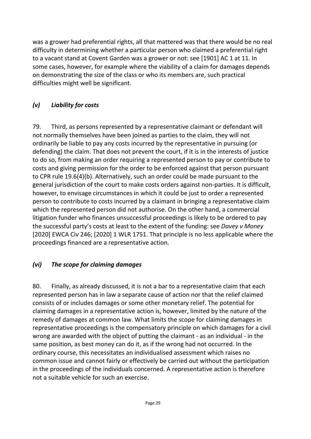was a grower had preferential rights, all that mattered was that there would be no real difficulty in determining whether a particular person who claimed a preferential right to a vacant stand at Covent Garden was a grower or not: see [1901] AC 1 at 11. In some cases, however, for example where the viability of a claim for damages depends on demonstrating the size of the class or who its members are, such practical difficulties might well be significant.

### *(v) Liability for costs*

79. Third, as persons represented by a representative claimant or defendant will not normally themselves have been joined as parties to the claim, they will not ordinarily be liable to pay any costs incurred by the representative in pursuing (or defending) the claim. That does not prevent the court, if it is in the interests of justice to do so, from making an order requiring a represented person to pay or contribute to costs and giving permission for the order to be enforced against that person pursuant to CPR rule 19.6(4)(b). Alternatively, such an order could be made pursuant to the general jurisdiction of the court to make costs orders against non-parties. It is difficult, however, to envisage circumstances in which it could be just to order a represented person to contribute to costs incurred by a claimant in bringing a representative claim which the represented person did not authorise. On the other hand, a commercial litigation funder who finances unsuccessful proceedings is likely to be ordered to pay the successful party's costs at least to the extent of the funding: see *Davey v Money* [2020] EWCA Civ 246; [2020] 1 WLR 1751. That principle is no less applicable where the proceedings financed are a representative action.

#### *(vi) The scope for claiming damages*

80. Finally, as already discussed, it is not a bar to a representative claim that each represented person has in law a separate cause of action nor that the relief claimed consists of or includes damages or some other monetary relief. The potential for claiming damages in a representative action is, however, limited by the nature of the remedy of damages at common law. What limits the scope for claiming damages in representative proceedings is the compensatory principle on which damages for a civil wrong are awarded with the object of putting the claimant - as an individual - in the same position, as best money can do it, as if the wrong had not occurred. In the ordinary course, this necessitates an individualised assessment which raises no common issue and cannot fairly or effectively be carried out without the participation in the proceedings of the individuals concerned. A representative action is therefore not a suitable vehicle for such an exercise.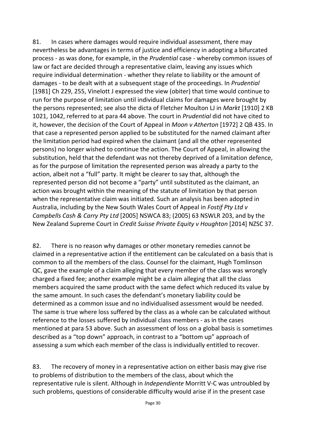81. In cases where damages would require individual assessment, there may nevertheless be advantages in terms of justice and efficiency in adopting a bifurcated process - as was done, for example, in the *Prudential* case - whereby common issues of law or fact are decided through a representative claim, leaving any issues which require individual determination - whether they relate to liability or the amount of damages - to be dealt with at a subsequent stage of the proceedings. In *Prudential* [1981] Ch 229, 255, Vinelott J expressed the view (obiter) that time would continue to run for the purpose of limitation until individual claims for damages were brought by the persons represented; see also the dicta of Fletcher Moulton LJ in *Markt* [1910] 2 KB 1021, 1042, referred to at para 44 above. The court in *Prudential* did not have cited to it, however, the decision of the Court of Appeal in *Moon v Atherton* [1972] 2 QB 435. In that case a represented person applied to be substituted for the named claimant after the limitation period had expired when the claimant (and all the other represented persons) no longer wished to continue the action. The Court of Appeal, in allowing the substitution, held that the defendant was not thereby deprived of a limitation defence, as for the purpose of limitation the represented person was already a party to the action, albeit not a "full" party. It might be clearer to say that, although the represented person did not become a "party" until substituted as the claimant, an action was brought within the meaning of the statute of limitation by that person when the representative claim was initiated. Such an analysis has been adopted in Australia, including by the New South Wales Court of Appeal in *Fostif Pty Ltd v Campbells Cash & Carry Pty Ltd* [2005] NSWCA 83; (2005) 63 NSWLR 203, and by the New Zealand Supreme Court in *Credit Suisse Private Equity v Houghton* [2014] NZSC 37.

82. There is no reason why damages or other monetary remedies cannot be claimed in a representative action if the entitlement can be calculated on a basis that is common to all the members of the class. Counsel for the claimant, Hugh Tomlinson QC, gave the example of a claim alleging that every member of the class was wrongly charged a fixed fee; another example might be a claim alleging that all the class members acquired the same product with the same defect which reduced its value by the same amount. In such cases the defendant's monetary liability could be determined as a common issue and no individualised assessment would be needed. The same is true where loss suffered by the class as a whole can be calculated without reference to the losses suffered by individual class members - as in the cases mentioned at para 53 above. Such an assessment of loss on a global basis is sometimes described as a "top down" approach, in contrast to a "bottom up" approach of assessing a sum which each member of the class is individually entitled to recover.

83. The recovery of money in a representative action on either basis may give rise to problems of distribution to the members of the class, about which the representative rule is silent. Although in *Independiente* Morritt V-C was untroubled by such problems, questions of considerable difficulty would arise if in the present case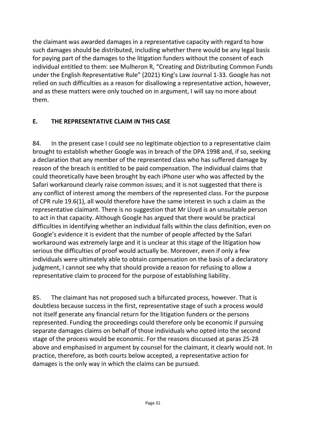the claimant was awarded damages in a representative capacity with regard to how such damages should be distributed, including whether there would be any legal basis for paying part of the damages to the litigation funders without the consent of each individual entitled to them: see Mulheron R, "Creating and Distributing Common Funds under the English Representative Rule" (2021) King's Law Journal 1-33. Google has not relied on such difficulties as a reason for disallowing a representative action, however, and as these matters were only touched on in argument, I will say no more about them.

## **E. THE REPRESENTATIVE CLAIM IN THIS CASE**

84. In the present case I could see no legitimate objection to a representative claim brought to establish whether Google was in breach of the DPA 1998 and, if so, seeking a declaration that any member of the represented class who has suffered damage by reason of the breach is entitled to be paid compensation. The individual claims that could theoretically have been brought by each iPhone user who was affected by the Safari workaround clearly raise common issues; and it is not suggested that there is any conflict of interest among the members of the represented class. For the purpose of CPR rule 19.6(1), all would therefore have the same interest in such a claim as the representative claimant. There is no suggestion that Mr Lloyd is an unsuitable person to act in that capacity. Although Google has argued that there would be practical difficulties in identifying whether an individual falls within the class definition, even on Google's evidence it is evident that the number of people affected by the Safari workaround was extremely large and it is unclear at this stage of the litigation how serious the difficulties of proof would actually be. Moreover, even if only a few individuals were ultimately able to obtain compensation on the basis of a declaratory judgment, I cannot see why that should provide a reason for refusing to allow a representative claim to proceed for the purpose of establishing liability.

85. The claimant has not proposed such a bifurcated process, however. That is doubtless because success in the first, representative stage of such a process would not itself generate any financial return for the litigation funders or the persons represented. Funding the proceedings could therefore only be economic if pursuing separate damages claims on behalf of those individuals who opted into the second stage of the process would be economic. For the reasons discussed at paras 25-28 above and emphasised in argument by counsel for the claimant, it clearly would not. In practice, therefore, as both courts below accepted, a representative action for damages is the only way in which the claims can be pursued.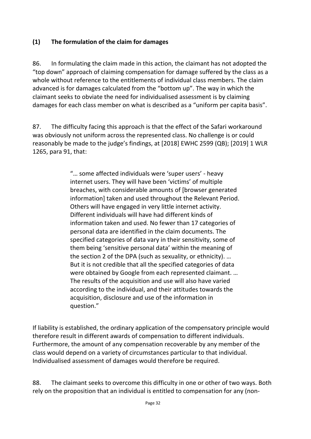#### **(1) The formulation of the claim for damages**

86. In formulating the claim made in this action, the claimant has not adopted the "top down" approach of claiming compensation for damage suffered by the class as a whole without reference to the entitlements of individual class members. The claim advanced is for damages calculated from the "bottom up". The way in which the claimant seeks to obviate the need for individualised assessment is by claiming damages for each class member on what is described as a "uniform per capita basis".

87. The difficulty facing this approach is that the effect of the Safari workaround was obviously not uniform across the represented class. No challenge is or could reasonably be made to the judge's findings, at [2018] EWHC 2599 (QB); [2019] 1 WLR 1265, para 91, that:

> "… some affected individuals were 'super users' - heavy internet users. They will have been 'victims' of multiple breaches, with considerable amounts of [browser generated information] taken and used throughout the Relevant Period. Others will have engaged in very little internet activity. Different individuals will have had different kinds of information taken and used. No fewer than 17 categories of personal data are identified in the claim documents. The specified categories of data vary in their sensitivity, some of them being 'sensitive personal data' within the meaning of the section 2 of the DPA (such as sexuality, or ethnicity). … But it is not credible that all the specified categories of data were obtained by Google from each represented claimant. … The results of the acquisition and use will also have varied according to the individual, and their attitudes towards the acquisition, disclosure and use of the information in question."

If liability is established, the ordinary application of the compensatory principle would therefore result in different awards of compensation to different individuals. Furthermore, the amount of any compensation recoverable by any member of the class would depend on a variety of circumstances particular to that individual. Individualised assessment of damages would therefore be required.

88. The claimant seeks to overcome this difficulty in one or other of two ways. Both rely on the proposition that an individual is entitled to compensation for any (non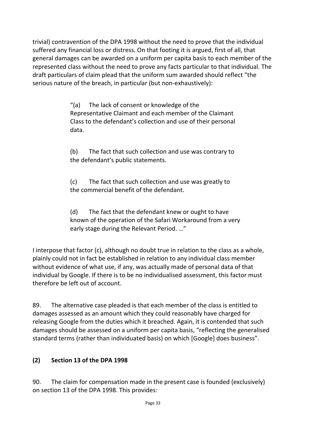trivial) contravention of the DPA 1998 without the need to prove that the individual suffered any financial loss or distress. On that footing it is argued, first of all, that general damages can be awarded on a uniform per capita basis to each member of the represented class without the need to prove any facts particular to that individual. The draft particulars of claim plead that the uniform sum awarded should reflect "the serious nature of the breach, in particular (but non-exhaustively):

> "(a) The lack of consent or knowledge of the Representative Claimant and each member of the Claimant Class to the defendant's collection and use of their personal data.

> (b) The fact that such collection and use was contrary to the defendant's public statements.

(c) The fact that such collection and use was greatly to the commercial benefit of the defendant.

(d) The fact that the defendant knew or ought to have known of the operation of the Safari Workaround from a very early stage during the Relevant Period. …"

I interpose that factor (c), although no doubt true in relation to the class as a whole, plainly could not in fact be established in relation to any individual class member without evidence of what use, if any, was actually made of personal data of that individual by Google. If there is to be no individualised assessment, this factor must therefore be left out of account.

89. The alternative case pleaded is that each member of the class is entitled to damages assessed as an amount which they could reasonably have charged for releasing Google from the duties which it breached. Again, it is contended that such damages should be assessed on a uniform per capita basis, "reflecting the generalised standard terms (rather than individuated basis) on which [Google] does business".

#### **(2) Section 13 of the DPA 1998**

90. The claim for compensation made in the present case is founded (exclusively) on section 13 of the DPA 1998. This provides: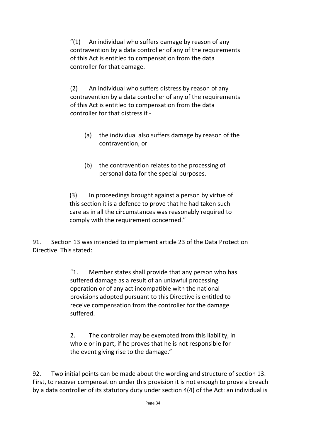"(1) An individual who suffers damage by reason of any contravention by a data controller of any of the requirements of this Act is entitled to compensation from the data controller for that damage.

(2) An individual who suffers distress by reason of any contravention by a data controller of any of the requirements of this Act is entitled to compensation from the data controller for that distress if -

- (a) the individual also suffers damage by reason of the contravention, or
- (b) the contravention relates to the processing of personal data for the special purposes.

(3) In proceedings brought against a person by virtue of this section it is a defence to prove that he had taken such care as in all the circumstances was reasonably required to comply with the requirement concerned."

91. Section 13 was intended to implement article 23 of the Data Protection Directive. This stated:

> "1. Member states shall provide that any person who has suffered damage as a result of an unlawful processing operation or of any act incompatible with the national provisions adopted pursuant to this Directive is entitled to receive compensation from the controller for the damage suffered.

> 2. The controller may be exempted from this liability, in whole or in part, if he proves that he is not responsible for the event giving rise to the damage."

92. Two initial points can be made about the wording and structure of section 13. First, to recover compensation under this provision it is not enough to prove a breach by a data controller of its statutory duty under section 4(4) of the Act: an individual is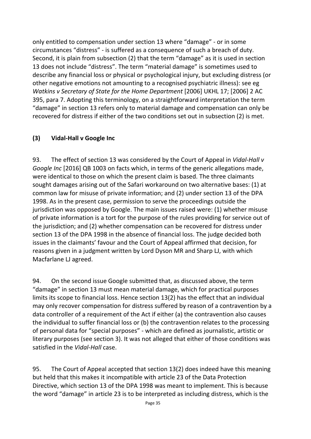only entitled to compensation under section 13 where "damage" - or in some circumstances "distress" - is suffered as a consequence of such a breach of duty. Second, it is plain from subsection (2) that the term "damage" as it is used in section 13 does not include "distress". The term "material damage" is sometimes used to describe any financial loss or physical or psychological injury, but excluding distress (or other negative emotions not amounting to a recognised psychiatric illness): see eg *Watkins v Secretary of State for the Home Department* [2006] UKHL 17; [2006] 2 AC 395, para 7. Adopting this terminology, on a straightforward interpretation the term "damage" in section 13 refers only to material damage and compensation can only be recovered for distress if either of the two conditions set out in subsection (2) is met.

#### **(3) Vidal-Hall v Google Inc**

93. The effect of section 13 was considered by the Court of Appeal in *Vidal-Hall v Google Inc* [2016] QB 1003 on facts which, in terms of the generic allegations made, were identical to those on which the present claim is based. The three claimants sought damages arising out of the Safari workaround on two alternative bases: (1) at common law for misuse of private information; and (2) under section 13 of the DPA 1998. As in the present case, permission to serve the proceedings outside the jurisdiction was opposed by Google. The main issues raised were: (1) whether misuse of private information is a tort for the purpose of the rules providing for service out of the jurisdiction; and (2) whether compensation can be recovered for distress under section 13 of the DPA 1998 in the absence of financial loss. The judge decided both issues in the claimants' favour and the Court of Appeal affirmed that decision, for reasons given in a judgment written by Lord Dyson MR and Sharp LJ, with which Macfarlane LJ agreed.

94. On the second issue Google submitted that, as discussed above, the term "damage" in section 13 must mean material damage, which for practical purposes limits its scope to financial loss. Hence section 13(2) has the effect that an individual may only recover compensation for distress suffered by reason of a contravention by a data controller of a requirement of the Act if either (a) the contravention also causes the individual to suffer financial loss or (b) the contravention relates to the processing of personal data for "special purposes" - which are defined as journalistic, artistic or literary purposes (see section 3). It was not alleged that either of those conditions was satisfied in the *Vidal-Hall* case.

95. The Court of Appeal accepted that section 13(2) does indeed have this meaning but held that this makes it incompatible with article 23 of the Data Protection Directive, which section 13 of the DPA 1998 was meant to implement. This is because the word "damage" in article 23 is to be interpreted as including distress, which is the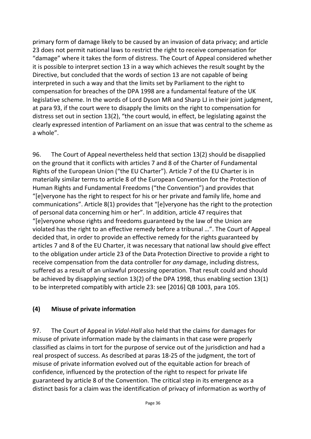primary form of damage likely to be caused by an invasion of data privacy; and article 23 does not permit national laws to restrict the right to receive compensation for "damage" where it takes the form of distress. The Court of Appeal considered whether it is possible to interpret section 13 in a way which achieves the result sought by the Directive, but concluded that the words of section 13 are not capable of being interpreted in such a way and that the limits set by Parliament to the right to compensation for breaches of the DPA 1998 are a fundamental feature of the UK legislative scheme. In the words of Lord Dyson MR and Sharp LJ in their joint judgment, at para 93, if the court were to disapply the limits on the right to compensation for distress set out in section 13(2), "the court would, in effect, be legislating against the clearly expressed intention of Parliament on an issue that was central to the scheme as a whole".

96. The Court of Appeal nevertheless held that section 13(2) should be disapplied on the ground that it conflicts with articles 7 and 8 of the Charter of Fundamental Rights of the European Union ("the EU Charter"). Article 7 of the EU Charter is in materially similar terms to article 8 of the European Convention for the Protection of Human Rights and Fundamental Freedoms ("the Convention") and provides that "[e]veryone has the right to respect for his or her private and family life, home and communications". Article 8(1) provides that "[e]veryone has the right to the protection of personal data concerning him or her". In addition, article 47 requires that "[e]veryone whose rights and freedoms guaranteed by the law of the Union are violated has the right to an effective remedy before a tribunal …". The Court of Appeal decided that, in order to provide an effective remedy for the rights guaranteed by articles 7 and 8 of the EU Charter, it was necessary that national law should give effect to the obligation under article 23 of the Data Protection Directive to provide a right to receive compensation from the data controller for *any* damage, including distress, suffered as a result of an unlawful processing operation. That result could and should be achieved by disapplying section 13(2) of the DPA 1998, thus enabling section 13(1) to be interpreted compatibly with article 23: see [2016] QB 1003, para 105.

#### **(4) Misuse of private information**

97. The Court of Appeal in *Vidal-Hall* also held that the claims for damages for misuse of private information made by the claimants in that case were properly classified as claims in tort for the purpose of service out of the jurisdiction and had a real prospect of success. As described at paras 18-25 of the judgment, the tort of misuse of private information evolved out of the equitable action for breach of confidence, influenced by the protection of the right to respect for private life guaranteed by article 8 of the Convention. The critical step in its emergence as a distinct basis for a claim was the identification of privacy of information as worthy of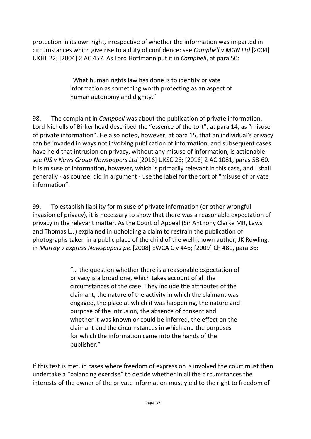protection in its own right, irrespective of whether the information was imparted in circumstances which give rise to a duty of confidence: see *Campbell v MGN Ltd* [2004] UKHL 22; [2004] 2 AC 457. As Lord Hoffmann put it in *Campbell*, at para 50:

> "What human rights law has done is to identify private information as something worth protecting as an aspect of human autonomy and dignity."

98. The complaint in *Campbell* was about the publication of private information. Lord Nicholls of Birkenhead described the "essence of the tort", at para 14, as "misuse of private information". He also noted, however, at para 15, that an individual's privacy can be invaded in ways not involving publication of information, and subsequent cases have held that intrusion on privacy, without any misuse of information, is actionable: see *PJS v News Group Newspapers Ltd* [2016] UKSC 26; [2016] 2 AC 1081, paras 58-60. It is misuse of information, however, which is primarily relevant in this case, and I shall generally - as counsel did in argument - use the label for the tort of "misuse of private information".

99. To establish liability for misuse of private information (or other wrongful invasion of privacy), it is necessary to show that there was a reasonable expectation of privacy in the relevant matter. As the Court of Appeal (Sir Anthony Clarke MR, Laws and Thomas LJJ) explained in upholding a claim to restrain the publication of photographs taken in a public place of the child of the well-known author, JK Rowling, in *Murray v Express Newspapers plc* [2008] EWCA Civ 446; [2009] Ch 481, para 36:

> "… the question whether there is a reasonable expectation of privacy is a broad one, which takes account of all the circumstances of the case. They include the attributes of the claimant, the nature of the activity in which the claimant was engaged, the place at which it was happening, the nature and purpose of the intrusion, the absence of consent and whether it was known or could be inferred, the effect on the claimant and the circumstances in which and the purposes for which the information came into the hands of the publisher."

If this test is met, in cases where freedom of expression is involved the court must then undertake a "balancing exercise" to decide whether in all the circumstances the interests of the owner of the private information must yield to the right to freedom of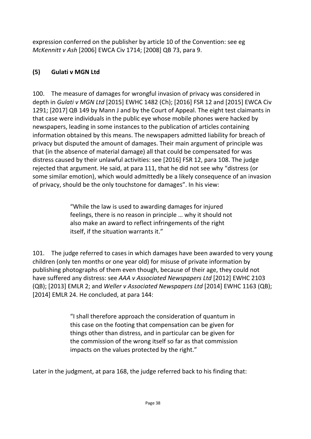expression conferred on the publisher by article 10 of the Convention: see eg *McKennitt v Ash* [2006] EWCA Civ 1714; [2008] QB 73, para 9.

### **(5) Gulati v MGN Ltd**

100. The measure of damages for wrongful invasion of privacy was considered in depth in *Gulati v MGN Ltd* [2015] EWHC 1482 (Ch); [2016] FSR 12 and [2015] EWCA Civ 1291; [2017] QB 149 by Mann J and by the Court of Appeal. The eight test claimants in that case were individuals in the public eye whose mobile phones were hacked by newspapers, leading in some instances to the publication of articles containing information obtained by this means. The newspapers admitted liability for breach of privacy but disputed the amount of damages. Their main argument of principle was that (in the absence of material damage) all that could be compensated for was distress caused by their unlawful activities: see [2016] FSR 12, para 108. The judge rejected that argument. He said, at para 111, that he did not see why "distress (or some similar emotion), which would admittedly be a likely consequence of an invasion of privacy, should be the only touchstone for damages". In his view:

> "While the law is used to awarding damages for injured feelings, there is no reason in principle … why it should not also make an award to reflect infringements of the right itself, if the situation warrants it."

101. The judge referred to cases in which damages have been awarded to very young children (only ten months or one year old) for misuse of private information by publishing photographs of them even though, because of their age, they could not have suffered any distress: see *AAA v Associated Newspapers Ltd* [2012] EWHC 2103 (QB); [2013] EMLR 2; and *Weller v Associated Newspapers Ltd* [2014] EWHC 1163 (QB); [2014] EMLR 24. He concluded, at para 144:

> "I shall therefore approach the consideration of quantum in this case on the footing that compensation can be given for things other than distress, and in particular can be given for the commission of the wrong itself so far as that commission impacts on the values protected by the right."

Later in the judgment, at para 168, the judge referred back to his finding that: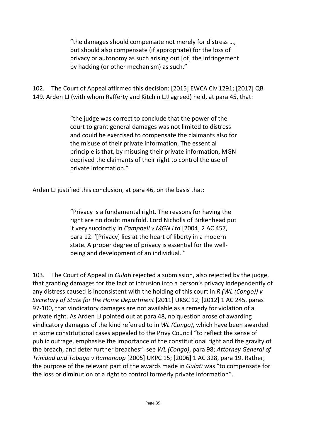"the damages should compensate not merely for distress …, but should also compensate (if appropriate) for the loss of privacy or autonomy as such arising out [of] the infringement by hacking (or other mechanism) as such."

102. The Court of Appeal affirmed this decision: [2015] EWCA Civ 1291; [2017] QB 149. Arden LJ (with whom Rafferty and Kitchin LJJ agreed) held, at para 45, that:

> "the judge was correct to conclude that the power of the court to grant general damages was not limited to distress and could be exercised to compensate the claimants also for the misuse of their private information. The essential principle is that, by misusing their private information, MGN deprived the claimants of their right to control the use of private information."

Arden LJ justified this conclusion, at para 46, on the basis that:

"Privacy is a fundamental right. The reasons for having the right are no doubt manifold. Lord Nicholls of Birkenhead put it very succinctly in *Campbell v MGN Ltd* [2004] 2 AC 457, para 12: '[Privacy] lies at the heart of liberty in a modern state. A proper degree of privacy is essential for the wellbeing and development of an individual.'"

103. The Court of Appeal in *Gulati* rejected a submission, also rejected by the judge, that granting damages for the fact of intrusion into a person's privacy independently of any distress caused is inconsistent with the holding of this court in *R (WL (Congo)) v Secretary of State for the Home Department* [2011] UKSC 12; [2012] 1 AC 245, paras 97-100, that vindicatory damages are not available as a remedy for violation of a private right. As Arden LJ pointed out at para 48, no question arose of awarding vindicatory damages of the kind referred to in *WL (Congo)*, which have been awarded in some constitutional cases appealed to the Privy Council "to reflect the sense of public outrage, emphasise the importance of the constitutional right and the gravity of the breach, and deter further breaches": see *WL (Congo)*, para 98; *Attorney General of Trinidad and Tobago v Ramanoop* [2005] UKPC 15; [2006] 1 AC 328, para 19. Rather, the purpose of the relevant part of the awards made in *Gulati* was "to compensate for the loss or diminution of a right to control formerly private information".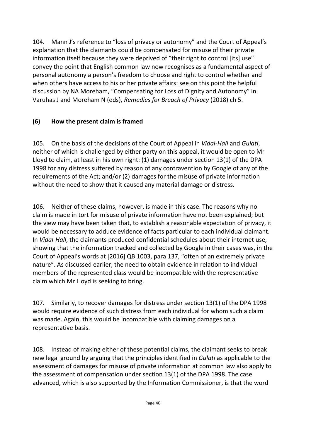104. Mann J's reference to "loss of privacy or autonomy" and the Court of Appeal's explanation that the claimants could be compensated for misuse of their private information itself because they were deprived of "their right to control [its] use" convey the point that English common law now recognises as a fundamental aspect of personal autonomy a person's freedom to choose and right to control whether and when others have access to his or her private affairs: see on this point the helpful discussion by NA Moreham, "Compensating for Loss of Dignity and Autonomy" in Varuhas J and Moreham N (eds), *Remedies for Breach of Privacy* (2018) ch 5.

## **(6) How the present claim is framed**

105. On the basis of the decisions of the Court of Appeal in *Vidal-Hall* and *Gulati*, neither of which is challenged by either party on this appeal, it would be open to Mr Lloyd to claim, at least in his own right: (1) damages under section 13(1) of the DPA 1998 for any distress suffered by reason of any contravention by Google of any of the requirements of the Act; and/or (2) damages for the misuse of private information without the need to show that it caused any material damage or distress.

106. Neither of these claims, however, is made in this case. The reasons why no claim is made in tort for misuse of private information have not been explained; but the view may have been taken that, to establish a reasonable expectation of privacy, it would be necessary to adduce evidence of facts particular to each individual claimant. In *Vidal-Hall*, the claimants produced confidential schedules about their internet use, showing that the information tracked and collected by Google in their cases was, in the Court of Appeal's words at [2016] QB 1003, para 137, "often of an extremely private nature". As discussed earlier, the need to obtain evidence in relation to individual members of the represented class would be incompatible with the representative claim which Mr Lloyd is seeking to bring.

107. Similarly, to recover damages for distress under section 13(1) of the DPA 1998 would require evidence of such distress from each individual for whom such a claim was made. Again, this would be incompatible with claiming damages on a representative basis.

108. Instead of making either of these potential claims, the claimant seeks to break new legal ground by arguing that the principles identified in *Gulati* as applicable to the assessment of damages for misuse of private information at common law also apply to the assessment of compensation under section 13(1) of the DPA 1998. The case advanced, which is also supported by the Information Commissioner, is that the word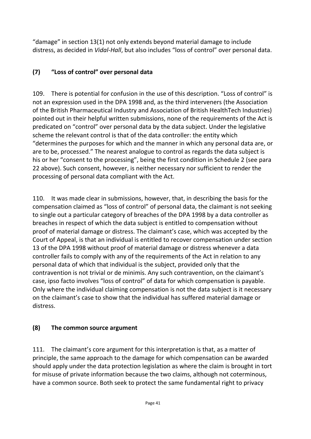"damage" in section 13(1) not only extends beyond material damage to include distress, as decided in *Vidal-Hall*, but also includes "loss of control" over personal data.

## **(7) "Loss of control" over personal data**

109. There is potential for confusion in the use of this description. "Loss of control" is not an expression used in the DPA 1998 and, as the third interveners (the Association of the British Pharmaceutical Industry and Association of British HealthTech Industries) pointed out in their helpful written submissions, none of the requirements of the Act is predicated on "control" over personal data by the data subject. Under the legislative scheme the relevant control is that of the data controller: the entity which "determines the purposes for which and the manner in which any personal data are, or are to be, processed." The nearest analogue to control as regards the data subject is his or her "consent to the processing", being the first condition in Schedule 2 (see para 22 above). Such consent, however, is neither necessary nor sufficient to render the processing of personal data compliant with the Act.

110. It was made clear in submissions, however, that, in describing the basis for the compensation claimed as "loss of control" of personal data, the claimant is not seeking to single out a particular category of breaches of the DPA 1998 by a data controller as breaches in respect of which the data subject is entitled to compensation without proof of material damage or distress. The claimant's case, which was accepted by the Court of Appeal, is that an individual is entitled to recover compensation under section 13 of the DPA 1998 without proof of material damage or distress whenever a data controller fails to comply with any of the requirements of the Act in relation to any personal data of which that individual is the subject, provided only that the contravention is not trivial or de minimis. Any such contravention, on the claimant's case, ipso facto involves "loss of control" of data for which compensation is payable. Only where the individual claiming compensation is not the data subject is it necessary on the claimant's case to show that the individual has suffered material damage or distress.

#### **(8) The common source argument**

111. The claimant's core argument for this interpretation is that, as a matter of principle, the same approach to the damage for which compensation can be awarded should apply under the data protection legislation as where the claim is brought in tort for misuse of private information because the two claims, although not coterminous, have a common source. Both seek to protect the same fundamental right to privacy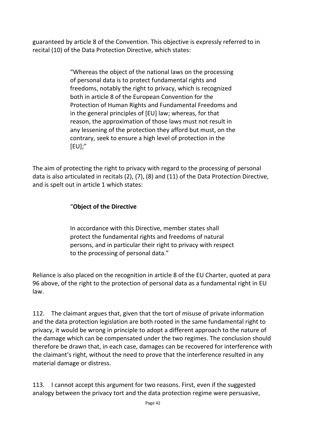guaranteed by article 8 of the Convention. This objective is expressly referred to in recital (10) of the Data Protection Directive, which states:

> "Whereas the object of the national laws on the processing of personal data is to protect fundamental rights and freedoms, notably the right to privacy, which is recognized both in article 8 of the European Convention for the Protection of Human Rights and Fundamental Freedoms and in the general principles of [EU] law; whereas, for that reason, the approximation of those laws must not result in any lessening of the protection they afford but must, on the contrary, seek to ensure a high level of protection in the [EU];"

The aim of protecting the right to privacy with regard to the processing of personal data is also articulated in recitals (2), (7), (8) and (11) of the Data Protection Directive, and is spelt out in article 1 which states:

#### "**Object of the Directive**

In accordance with this Directive, member states shall protect the fundamental rights and freedoms of natural persons, and in particular their right to privacy with respect to the processing of personal data."

Reliance is also placed on the recognition in article 8 of the EU Charter, quoted at para 96 above, of the right to the protection of personal data as a fundamental right in EU law.

112. The claimant argues that, given that the tort of misuse of private information and the data protection legislation are both rooted in the same fundamental right to privacy, it would be wrong in principle to adopt a different approach to the nature of the damage which can be compensated under the two regimes. The conclusion should therefore be drawn that, in each case, damages can be recovered for interference with the claimant's right, without the need to prove that the interference resulted in any material damage or distress.

113. I cannot accept this argument for two reasons. First, even if the suggested analogy between the privacy tort and the data protection regime were persuasive,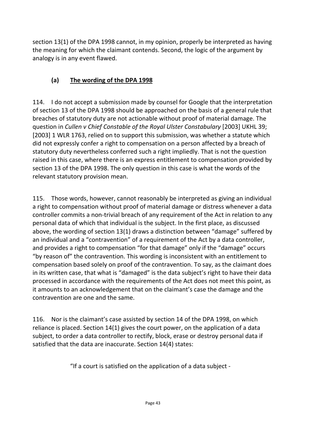section 13(1) of the DPA 1998 cannot, in my opinion, properly be interpreted as having the meaning for which the claimant contends. Second, the logic of the argument by analogy is in any event flawed.

# **(a) The wording of the DPA 1998**

114. I do not accept a submission made by counsel for Google that the interpretation of section 13 of the DPA 1998 should be approached on the basis of a general rule that breaches of statutory duty are not actionable without proof of material damage. The question in *Cullen v Chief Constable of the Royal Ulster Constabulary* [2003] UKHL 39; [2003] 1 WLR 1763, relied on to support this submission, was whether a statute which did not expressly confer a right to compensation on a person affected by a breach of statutory duty nevertheless conferred such a right impliedly. That is not the question raised in this case, where there is an express entitlement to compensation provided by section 13 of the DPA 1998. The only question in this case is what the words of the relevant statutory provision mean.

115. Those words, however, cannot reasonably be interpreted as giving an individual a right to compensation without proof of material damage or distress whenever a data controller commits a non-trivial breach of any requirement of the Act in relation to any personal data of which that individual is the subject. In the first place, as discussed above, the wording of section 13(1) draws a distinction between "damage" suffered by an individual and a "contravention" of a requirement of the Act by a data controller, and provides a right to compensation "for that damage" only if the "damage" occurs "by reason of" the contravention. This wording is inconsistent with an entitlement to compensation based solely on proof of the contravention. To say, as the claimant does in its written case, that what is "damaged" is the data subject's right to have their data processed in accordance with the requirements of the Act does not meet this point, as it amounts to an acknowledgement that on the claimant's case the damage and the contravention are one and the same.

116. Nor is the claimant's case assisted by section 14 of the DPA 1998, on which reliance is placed. Section 14(1) gives the court power, on the application of a data subject, to order a data controller to rectify, block, erase or destroy personal data if satisfied that the data are inaccurate. Section 14(4) states:

"If a court is satisfied on the application of a data subject -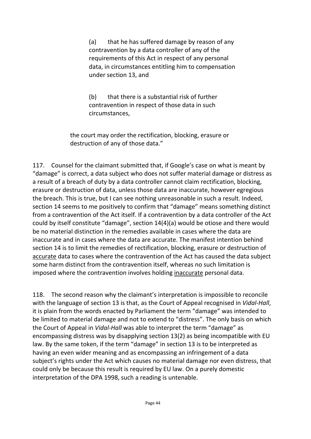(a) that he has suffered damage by reason of any contravention by a data controller of any of the requirements of this Act in respect of any personal data, in circumstances entitling him to compensation under section 13, and

(b) that there is a substantial risk of further contravention in respect of those data in such circumstances,

the court may order the rectification, blocking, erasure or destruction of any of those data."

117. Counsel for the claimant submitted that, if Google's case on what is meant by "damage" is correct, a data subject who does not suffer material damage or distress as a result of a breach of duty by a data controller cannot claim rectification, blocking, erasure or destruction of data, unless those data are inaccurate, however egregious the breach. This is true, but I can see nothing unreasonable in such a result. Indeed, section 14 seems to me positively to confirm that "damage" means something distinct from a contravention of the Act itself. If a contravention by a data controller of the Act could by itself constitute "damage", section 14(4)(a) would be otiose and there would be no material distinction in the remedies available in cases where the data are inaccurate and in cases where the data are accurate. The manifest intention behind section 14 is to limit the remedies of rectification, blocking, erasure or destruction of accurate data to cases where the contravention of the Act has caused the data subject some harm distinct from the contravention itself, whereas no such limitation is imposed where the contravention involves holding inaccurate personal data.

118. The second reason why the claimant's interpretation is impossible to reconcile with the language of section 13 is that, as the Court of Appeal recognised in *Vidal-Hall*, it is plain from the words enacted by Parliament the term "damage" was intended to be limited to material damage and not to extend to "distress". The only basis on which the Court of Appeal in *Vidal-Hall* was able to interpret the term "damage" as encompassing distress was by disapplying section 13(2) as being incompatible with EU law. By the same token, if the term "damage" in section 13 is to be interpreted as having an even wider meaning and as encompassing an infringement of a data subject's rights under the Act which causes no material damage nor even distress, that could only be because this result is required by EU law. On a purely domestic interpretation of the DPA 1998, such a reading is untenable.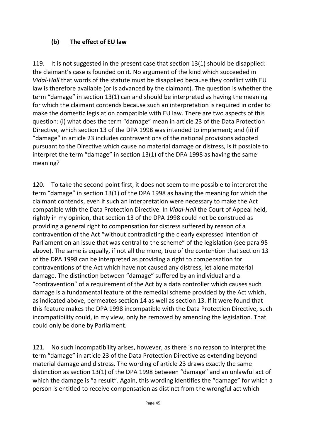#### **(b) The effect of EU law**

119. It is not suggested in the present case that section 13(1) should be disapplied: the claimant's case is founded on it. No argument of the kind which succeeded in *Vidal-Hall* that words of the statute must be disapplied because they conflict with EU law is therefore available (or is advanced by the claimant). The question is whether the term "damage" in section 13(1) can and should be interpreted as having the meaning for which the claimant contends because such an interpretation is required in order to make the domestic legislation compatible with EU law. There are two aspects of this question: (i) what does the term "damage" mean in article 23 of the Data Protection Directive, which section 13 of the DPA 1998 was intended to implement; and (ii) if "damage" in article 23 includes contraventions of the national provisions adopted pursuant to the Directive which cause no material damage or distress, is it possible to interpret the term "damage" in section 13(1) of the DPA 1998 as having the same meaning?

120. To take the second point first, it does not seem to me possible to interpret the term "damage" in section 13(1) of the DPA 1998 as having the meaning for which the claimant contends, even if such an interpretation were necessary to make the Act compatible with the Data Protection Directive. In *Vidal-Hall* the Court of Appeal held, rightly in my opinion, that section 13 of the DPA 1998 could not be construed as providing a general right to compensation for distress suffered by reason of a contravention of the Act "without contradicting the clearly expressed intention of Parliament on an issue that was central to the scheme" of the legislation (see para 95 above). The same is equally, if not all the more, true of the contention that section 13 of the DPA 1998 can be interpreted as providing a right to compensation for contraventions of the Act which have not caused any distress, let alone material damage. The distinction between "damage" suffered by an individual and a "contravention" of a requirement of the Act by a data controller which causes such damage is a fundamental feature of the remedial scheme provided by the Act which, as indicated above, permeates section 14 as well as section 13. If it were found that this feature makes the DPA 1998 incompatible with the Data Protection Directive, such incompatibility could, in my view, only be removed by amending the legislation. That could only be done by Parliament.

121. No such incompatibility arises, however, as there is no reason to interpret the term "damage" in article 23 of the Data Protection Directive as extending beyond material damage and distress. The wording of article 23 draws exactly the same distinction as section 13(1) of the DPA 1998 between "damage" and an unlawful act of which the damage is "a result". Again, this wording identifies the "damage" for which a person is entitled to receive compensation as distinct from the wrongful act which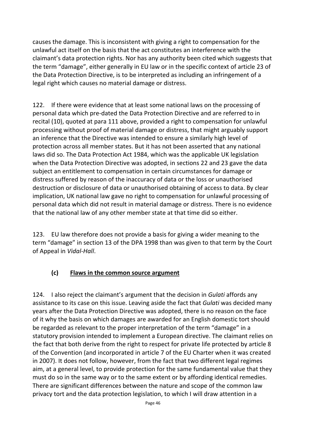causes the damage. This is inconsistent with giving a right to compensation for the unlawful act itself on the basis that the act constitutes an interference with the claimant's data protection rights. Nor has any authority been cited which suggests that the term "damage", either generally in EU law or in the specific context of article 23 of the Data Protection Directive, is to be interpreted as including an infringement of a legal right which causes no material damage or distress.

122. If there were evidence that at least some national laws on the processing of personal data which pre-dated the Data Protection Directive and are referred to in recital (10), quoted at para 111 above, provided a right to compensation for unlawful processing without proof of material damage or distress, that might arguably support an inference that the Directive was intended to ensure a similarly high level of protection across all member states. But it has not been asserted that any national laws did so. The Data Protection Act 1984, which was the applicable UK legislation when the Data Protection Directive was adopted, in sections 22 and 23 gave the data subject an entitlement to compensation in certain circumstances for damage or distress suffered by reason of the inaccuracy of data or the loss or unauthorised destruction or disclosure of data or unauthorised obtaining of access to data. By clear implication, UK national law gave no right to compensation for unlawful processing of personal data which did not result in material damage or distress. There is no evidence that the national law of any other member state at that time did so either.

123. EU law therefore does not provide a basis for giving a wider meaning to the term "damage" in section 13 of the DPA 1998 than was given to that term by the Court of Appeal in *Vidal-Hall*.

#### **(c) Flaws in the common source argument**

124. I also reject the claimant's argument that the decision in *Gulati* affords any assistance to its case on this issue. Leaving aside the fact that *Gulati* was decided many years after the Data Protection Directive was adopted, there is no reason on the face of it why the basis on which damages are awarded for an English domestic tort should be regarded as relevant to the proper interpretation of the term "damage" in a statutory provision intended to implement a European directive. The claimant relies on the fact that both derive from the right to respect for private life protected by article 8 of the Convention (and incorporated in article 7 of the EU Charter when it was created in 2007). It does not follow, however, from the fact that two different legal regimes aim, at a general level, to provide protection for the same fundamental value that they must do so in the same way or to the same extent or by affording identical remedies. There are significant differences between the nature and scope of the common law privacy tort and the data protection legislation, to which I will draw attention in a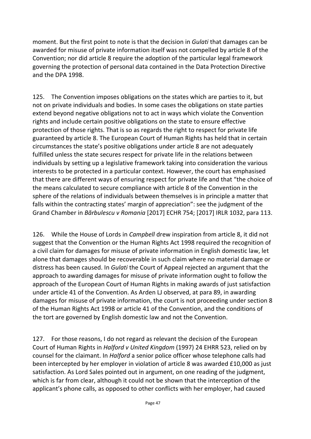moment. But the first point to note is that the decision in *Gulati* that damages can be awarded for misuse of private information itself was not compelled by article 8 of the Convention; nor did article 8 require the adoption of the particular legal framework governing the protection of personal data contained in the Data Protection Directive and the DPA 1998.

125. The Convention imposes obligations on the states which are parties to it, but not on private individuals and bodies. In some cases the obligations on state parties extend beyond negative obligations not to act in ways which violate the Convention rights and include certain positive obligations on the state to ensure effective protection of those rights. That is so as regards the right to respect for private life guaranteed by article 8. The European Court of Human Rights has held that in certain circumstances the state's positive obligations under article 8 are not adequately fulfilled unless the state secures respect for private life in the relations between individuals by setting up a legislative framework taking into consideration the various interests to be protected in a particular context. However, the court has emphasised that there are different ways of ensuring respect for private life and that "the choice of the means calculated to secure compliance with article 8 of the Convention in the sphere of the relations of individuals between themselves is in principle a matter that falls within the contracting states' margin of appreciation": see the judgment of the Grand Chamber in *Bărbulescu v Romania* [2017] ECHR 754; [2017] IRLR 1032, para 113.

126. While the House of Lords in *Campbell* drew inspiration from article 8, it did not suggest that the Convention or the Human Rights Act 1998 required the recognition of a civil claim for damages for misuse of private information in English domestic law, let alone that damages should be recoverable in such claim where no material damage or distress has been caused. In *Gulati* the Court of Appeal rejected an argument that the approach to awarding damages for misuse of private information ought to follow the approach of the European Court of Human Rights in making awards of just satisfaction under article 41 of the Convention. As Arden LJ observed, at para 89, in awarding damages for misuse of private information, the court is not proceeding under section 8 of the Human Rights Act 1998 or article 41 of the Convention, and the conditions of the tort are governed by English domestic law and not the Convention.

127. For those reasons, I do not regard as relevant the decision of the European Court of Human Rights in *Halford v United Kingdom* (1997) 24 EHRR 523, relied on by counsel for the claimant. In *Halford* a senior police officer whose telephone calls had been intercepted by her employer in violation of article 8 was awarded £10,000 as just satisfaction. As Lord Sales pointed out in argument, on one reading of the judgment, which is far from clear, although it could not be shown that the interception of the applicant's phone calls, as opposed to other conflicts with her employer, had caused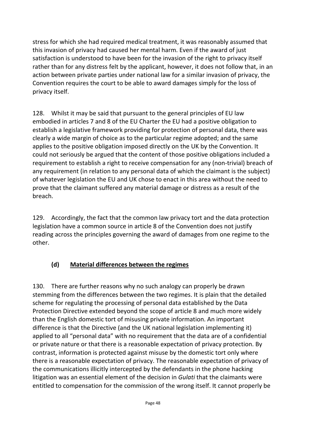stress for which she had required medical treatment, it was reasonably assumed that this invasion of privacy had caused her mental harm. Even if the award of just satisfaction is understood to have been for the invasion of the right to privacy itself rather than for any distress felt by the applicant, however, it does not follow that, in an action between private parties under national law for a similar invasion of privacy, the Convention requires the court to be able to award damages simply for the loss of privacy itself.

128. Whilst it may be said that pursuant to the general principles of EU law embodied in articles 7 and 8 of the EU Charter the EU had a positive obligation to establish a legislative framework providing for protection of personal data, there was clearly a wide margin of choice as to the particular regime adopted; and the same applies to the positive obligation imposed directly on the UK by the Convention. It could not seriously be argued that the content of those positive obligations included a requirement to establish a right to receive compensation for any (non-trivial) breach of any requirement (in relation to any personal data of which the claimant is the subject) of whatever legislation the EU and UK chose to enact in this area without the need to prove that the claimant suffered any material damage or distress as a result of the breach.

129. Accordingly, the fact that the common law privacy tort and the data protection legislation have a common source in article 8 of the Convention does not justify reading across the principles governing the award of damages from one regime to the other.

## **(d) Material differences between the regimes**

130. There are further reasons why no such analogy can properly be drawn stemming from the differences between the two regimes. It is plain that the detailed scheme for regulating the processing of personal data established by the Data Protection Directive extended beyond the scope of article 8 and much more widely than the English domestic tort of misusing private information. An important difference is that the Directive (and the UK national legislation implementing it) applied to all "personal data" with no requirement that the data are of a confidential or private nature or that there is a reasonable expectation of privacy protection. By contrast, information is protected against misuse by the domestic tort only where there is a reasonable expectation of privacy. The reasonable expectation of privacy of the communications illicitly intercepted by the defendants in the phone hacking litigation was an essential element of the decision in *Gulati* that the claimants were entitled to compensation for the commission of the wrong itself. It cannot properly be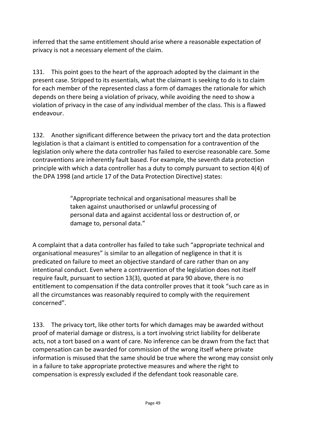inferred that the same entitlement should arise where a reasonable expectation of privacy is not a necessary element of the claim.

131. This point goes to the heart of the approach adopted by the claimant in the present case. Stripped to its essentials, what the claimant is seeking to do is to claim for each member of the represented class a form of damages the rationale for which depends on there being a violation of privacy, while avoiding the need to show a violation of privacy in the case of any individual member of the class. This is a flawed endeavour.

132. Another significant difference between the privacy tort and the data protection legislation is that a claimant is entitled to compensation for a contravention of the legislation only where the data controller has failed to exercise reasonable care. Some contraventions are inherently fault based. For example, the seventh data protection principle with which a data controller has a duty to comply pursuant to section 4(4) of the DPA 1998 (and article 17 of the Data Protection Directive) states:

> "Appropriate technical and organisational measures shall be taken against unauthorised or unlawful processing of personal data and against accidental loss or destruction of, or damage to, personal data."

A complaint that a data controller has failed to take such "appropriate technical and organisational measures" is similar to an allegation of negligence in that it is predicated on failure to meet an objective standard of care rather than on any intentional conduct. Even where a contravention of the legislation does not itself require fault, pursuant to section 13(3), quoted at para 90 above, there is no entitlement to compensation if the data controller proves that it took "such care as in all the circumstances was reasonably required to comply with the requirement concerned".

133. The privacy tort, like other torts for which damages may be awarded without proof of material damage or distress, is a tort involving strict liability for deliberate acts, not a tort based on a want of care. No inference can be drawn from the fact that compensation can be awarded for commission of the wrong itself where private information is misused that the same should be true where the wrong may consist only in a failure to take appropriate protective measures and where the right to compensation is expressly excluded if the defendant took reasonable care.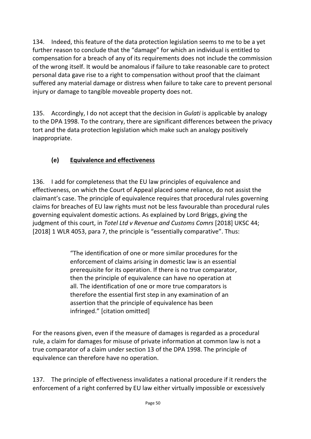134. Indeed, this feature of the data protection legislation seems to me to be a yet further reason to conclude that the "damage" for which an individual is entitled to compensation for a breach of any of its requirements does not include the commission of the wrong itself. It would be anomalous if failure to take reasonable care to protect personal data gave rise to a right to compensation without proof that the claimant suffered any material damage or distress when failure to take care to prevent personal injury or damage to tangible moveable property does not.

135. Accordingly, I do not accept that the decision in *Gulati* is applicable by analogy to the DPA 1998. To the contrary, there are significant differences between the privacy tort and the data protection legislation which make such an analogy positively inappropriate.

# **(e) Equivalence and effectiveness**

136. I add for completeness that the EU law principles of equivalence and effectiveness, on which the Court of Appeal placed some reliance, do not assist the claimant's case. The principle of equivalence requires that procedural rules governing claims for breaches of EU law rights must not be less favourable than procedural rules governing equivalent domestic actions. As explained by Lord Briggs, giving the judgment of this court, in *Totel Ltd v Revenue and Customs Comrs* [2018] UKSC 44; [2018] 1 WLR 4053, para 7, the principle is "essentially comparative". Thus:

> "The identification of one or more similar procedures for the enforcement of claims arising in domestic law is an essential prerequisite for its operation. If there is no true comparator, then the principle of equivalence can have no operation at all. The identification of one or more true comparators is therefore the essential first step in any examination of an assertion that the principle of equivalence has been infringed." [citation omitted]

For the reasons given, even if the measure of damages is regarded as a procedural rule, a claim for damages for misuse of private information at common law is not a true comparator of a claim under section 13 of the DPA 1998. The principle of equivalence can therefore have no operation.

137. The principle of effectiveness invalidates a national procedure if it renders the enforcement of a right conferred by EU law either virtually impossible or excessively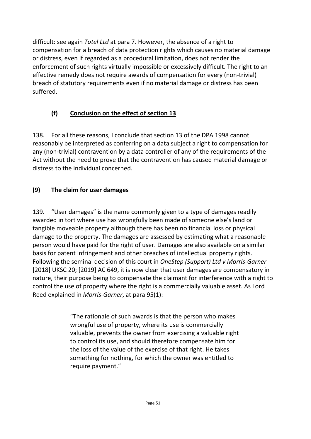difficult: see again *Totel Ltd* at para 7. However, the absence of a right to compensation for a breach of data protection rights which causes no material damage or distress, even if regarded as a procedural limitation, does not render the enforcement of such rights virtually impossible or excessively difficult. The right to an effective remedy does not require awards of compensation for every (non-trivial) breach of statutory requirements even if no material damage or distress has been suffered.

# **(f) Conclusion on the effect of section 13**

138. For all these reasons, I conclude that section 13 of the DPA 1998 cannot reasonably be interpreted as conferring on a data subject a right to compensation for any (non-trivial) contravention by a data controller of any of the requirements of the Act without the need to prove that the contravention has caused material damage or distress to the individual concerned.

## **(9) The claim for user damages**

139. "User damages" is the name commonly given to a type of damages readily awarded in tort where use has wrongfully been made of someone else's land or tangible moveable property although there has been no financial loss or physical damage to the property. The damages are assessed by estimating what a reasonable person would have paid for the right of user. Damages are also available on a similar basis for patent infringement and other breaches of intellectual property rights. Following the seminal decision of this court in *OneStep (Support) Ltd v Morris-Garner* [2018] UKSC 20; [2019] AC 649, it is now clear that user damages are compensatory in nature, their purpose being to compensate the claimant for interference with a right to control the use of property where the right is a commercially valuable asset. As Lord Reed explained in *Morris-Garner*, at para 95(1):

> "The rationale of such awards is that the person who makes wrongful use of property, where its use is commercially valuable, prevents the owner from exercising a valuable right to control its use, and should therefore compensate him for the loss of the value of the exercise of that right. He takes something for nothing, for which the owner was entitled to require payment."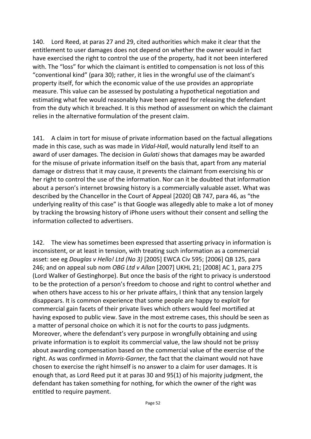140. Lord Reed, at paras 27 and 29, cited authorities which make it clear that the entitlement to user damages does not depend on whether the owner would in fact have exercised the right to control the use of the property, had it not been interfered with. The "loss" for which the claimant is entitled to compensation is not loss of this "conventional kind" (para 30); rather, it lies in the wrongful use of the claimant's property itself, for which the economic value of the use provides an appropriate measure. This value can be assessed by postulating a hypothetical negotiation and estimating what fee would reasonably have been agreed for releasing the defendant from the duty which it breached. It is this method of assessment on which the claimant relies in the alternative formulation of the present claim.

141. A claim in tort for misuse of private information based on the factual allegations made in this case, such as was made in *Vidal-Hall*, would naturally lend itself to an award of user damages. The decision in *Gulati* shows that damages may be awarded for the misuse of private information itself on the basis that, apart from any material damage or distress that it may cause, it prevents the claimant from exercising his or her right to control the use of the information. Nor can it be doubted that information about a person's internet browsing history is a commercially valuable asset. What was described by the Chancellor in the Court of Appeal [2020] QB 747, para 46, as "the underlying reality of this case" is that Google was allegedly able to make a lot of money by tracking the browsing history of iPhone users without their consent and selling the information collected to advertisers.

142. The view has sometimes been expressed that asserting privacy in information is inconsistent, or at least in tension, with treating such information as a commercial asset: see eg *Douglas v Hello! Ltd (No 3)* [2005] EWCA Civ 595; [2006] QB 125, para 246; and on appeal sub nom *OBG Ltd v Allan* [2007] UKHL 21; [2008] AC 1, para 275 (Lord Walker of Gestinghorpe). But once the basis of the right to privacy is understood to be the protection of a person's freedom to choose and right to control whether and when others have access to his or her private affairs, I think that any tension largely disappears. It is common experience that some people are happy to exploit for commercial gain facets of their private lives which others would feel mortified at having exposed to public view. Save in the most extreme cases, this should be seen as a matter of personal choice on which it is not for the courts to pass judgments. Moreover, where the defendant's very purpose in wrongfully obtaining and using private information is to exploit its commercial value, the law should not be prissy about awarding compensation based on the commercial value of the exercise of the right. As was confirmed in *Morris-Garner*, the fact that the claimant would not have chosen to exercise the right himself is no answer to a claim for user damages. It is enough that, as Lord Reed put it at paras 30 and 95(1) of his majority judgment, the defendant has taken something for nothing, for which the owner of the right was entitled to require payment.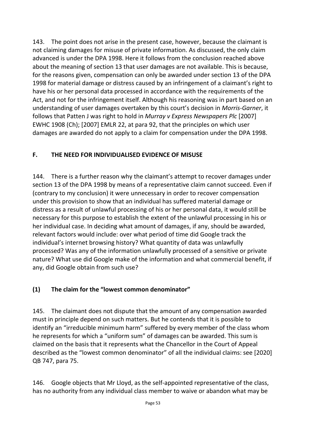143. The point does not arise in the present case, however, because the claimant is not claiming damages for misuse of private information. As discussed, the only claim advanced is under the DPA 1998. Here it follows from the conclusion reached above about the meaning of section 13 that user damages are not available. This is because, for the reasons given, compensation can only be awarded under section 13 of the DPA 1998 for material damage or distress caused by an infringement of a claimant's right to have his or her personal data processed in accordance with the requirements of the Act, and not for the infringement itself. Although his reasoning was in part based on an understanding of user damages overtaken by this court's decision in *Morris-Garner*, it follows that Patten J was right to hold in *Murray v Express Newspapers Plc* [2007] EWHC 1908 (Ch); [2007] EMLR 22, at para 92, that the principles on which user damages are awarded do not apply to a claim for compensation under the DPA 1998.

#### **F. THE NEED FOR INDIVIDUALISED EVIDENCE OF MISUSE**

144. There is a further reason why the claimant's attempt to recover damages under section 13 of the DPA 1998 by means of a representative claim cannot succeed. Even if (contrary to my conclusion) it were unnecessary in order to recover compensation under this provision to show that an individual has suffered material damage or distress as a result of unlawful processing of his or her personal data, it would still be necessary for this purpose to establish the extent of the unlawful processing in his or her individual case. In deciding what amount of damages, if any, should be awarded, relevant factors would include: over what period of time did Google track the individual's internet browsing history? What quantity of data was unlawfully processed? Was any of the information unlawfully processed of a sensitive or private nature? What use did Google make of the information and what commercial benefit, if any, did Google obtain from such use?

#### **(1) The claim for the "lowest common denominator"**

145. The claimant does not dispute that the amount of any compensation awarded must in principle depend on such matters. But he contends that it is possible to identify an "irreducible minimum harm" suffered by every member of the class whom he represents for which a "uniform sum" of damages can be awarded. This sum is claimed on the basis that it represents what the Chancellor in the Court of Appeal described as the "lowest common denominator" of all the individual claims: see [2020] QB 747, para 75.

146. Google objects that Mr Lloyd, as the self-appointed representative of the class, has no authority from any individual class member to waive or abandon what may be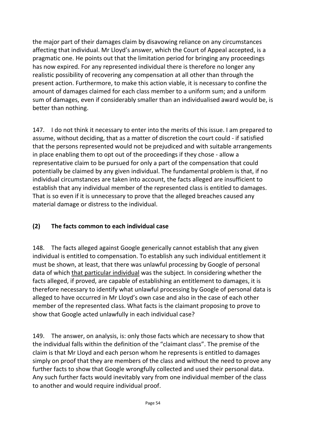the major part of their damages claim by disavowing reliance on any circumstances affecting that individual. Mr Lloyd's answer, which the Court of Appeal accepted, is a pragmatic one. He points out that the limitation period for bringing any proceedings has now expired. For any represented individual there is therefore no longer any realistic possibility of recovering any compensation at all other than through the present action. Furthermore, to make this action viable, it is necessary to confine the amount of damages claimed for each class member to a uniform sum; and a uniform sum of damages, even if considerably smaller than an individualised award would be, is better than nothing.

147. I do not think it necessary to enter into the merits of this issue. I am prepared to assume, without deciding, that as a matter of discretion the court could - if satisfied that the persons represented would not be prejudiced and with suitable arrangements in place enabling them to opt out of the proceedings if they chose - allow a representative claim to be pursued for only a part of the compensation that could potentially be claimed by any given individual. The fundamental problem is that, if no individual circumstances are taken into account, the facts alleged are insufficient to establish that any individual member of the represented class is entitled to damages. That is so even if it is unnecessary to prove that the alleged breaches caused any material damage or distress to the individual.

#### **(2) The facts common to each individual case**

148. The facts alleged against Google generically cannot establish that any given individual is entitled to compensation. To establish any such individual entitlement it must be shown, at least, that there was unlawful processing by Google of personal data of which that particular individual was the subject. In considering whether the facts alleged, if proved, are capable of establishing an entitlement to damages, it is therefore necessary to identify what unlawful processing by Google of personal data is alleged to have occurred in Mr Lloyd's own case and also in the case of each other member of the represented class. What facts is the claimant proposing to prove to show that Google acted unlawfully in each individual case?

149. The answer, on analysis, is: only those facts which are necessary to show that the individual falls within the definition of the "claimant class". The premise of the claim is that Mr Lloyd and each person whom he represents is entitled to damages simply on proof that they are members of the class and without the need to prove any further facts to show that Google wrongfully collected and used their personal data. Any such further facts would inevitably vary from one individual member of the class to another and would require individual proof.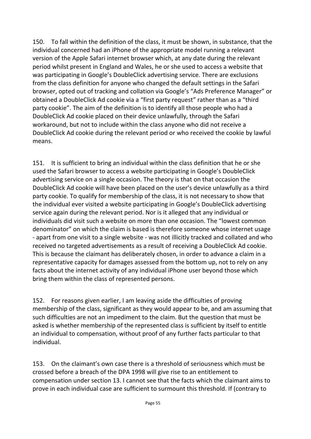150. To fall within the definition of the class, it must be shown, in substance, that the individual concerned had an iPhone of the appropriate model running a relevant version of the Apple Safari internet browser which, at any date during the relevant period whilst present in England and Wales, he or she used to access a website that was participating in Google's DoubleClick advertising service. There are exclusions from the class definition for anyone who changed the default settings in the Safari browser, opted out of tracking and collation via Google's "Ads Preference Manager" or obtained a DoubleClick Ad cookie via a "first party request" rather than as a "third party cookie". The aim of the definition is to identify all those people who had a DoubleClick Ad cookie placed on their device unlawfully, through the Safari workaround, but not to include within the class anyone who did not receive a DoubleClick Ad cookie during the relevant period or who received the cookie by lawful means.

151. It is sufficient to bring an individual within the class definition that he or she used the Safari browser to access a website participating in Google's DoubleClick advertising service on a single occasion. The theory is that on that occasion the DoubleClick Ad cookie will have been placed on the user's device unlawfully as a third party cookie. To qualify for membership of the class, it is not necessary to show that the individual ever visited a website participating in Google's DoubleClick advertising service again during the relevant period. Nor is it alleged that any individual or individuals did visit such a website on more than one occasion. The "lowest common denominator" on which the claim is based is therefore someone whose internet usage - apart from one visit to a single website - was not illicitly tracked and collated and who received no targeted advertisements as a result of receiving a DoubleClick Ad cookie. This is because the claimant has deliberately chosen, in order to advance a claim in a representative capacity for damages assessed from the bottom up, not to rely on any facts about the internet activity of any individual iPhone user beyond those which bring them within the class of represented persons.

152. For reasons given earlier, I am leaving aside the difficulties of proving membership of the class, significant as they would appear to be, and am assuming that such difficulties are not an impediment to the claim. But the question that must be asked is whether membership of the represented class is sufficient by itself to entitle an individual to compensation, without proof of any further facts particular to that individual.

153. On the claimant's own case there is a threshold of seriousness which must be crossed before a breach of the DPA 1998 will give rise to an entitlement to compensation under section 13. I cannot see that the facts which the claimant aims to prove in each individual case are sufficient to surmount this threshold. If (contrary to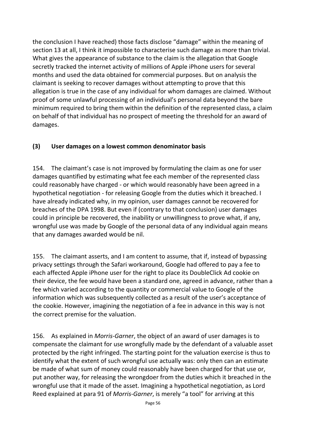the conclusion I have reached) those facts disclose "damage" within the meaning of section 13 at all, I think it impossible to characterise such damage as more than trivial. What gives the appearance of substance to the claim is the allegation that Google secretly tracked the internet activity of millions of Apple iPhone users for several months and used the data obtained for commercial purposes. But on analysis the claimant is seeking to recover damages without attempting to prove that this allegation is true in the case of any individual for whom damages are claimed. Without proof of some unlawful processing of an individual's personal data beyond the bare minimum required to bring them within the definition of the represented class, a claim on behalf of that individual has no prospect of meeting the threshold for an award of damages.

#### **(3) User damages on a lowest common denominator basis**

154. The claimant's case is not improved by formulating the claim as one for user damages quantified by estimating what fee each member of the represented class could reasonably have charged - or which would reasonably have been agreed in a hypothetical negotiation - for releasing Google from the duties which it breached. I have already indicated why, in my opinion, user damages cannot be recovered for breaches of the DPA 1998. But even if (contrary to that conclusion) user damages could in principle be recovered, the inability or unwillingness to prove what, if any, wrongful use was made by Google of the personal data of any individual again means that any damages awarded would be nil.

155. The claimant asserts, and I am content to assume, that if, instead of bypassing privacy settings through the Safari workaround, Google had offered to pay a fee to each affected Apple iPhone user for the right to place its DoubleClick Ad cookie on their device, the fee would have been a standard one, agreed in advance, rather than a fee which varied according to the quantity or commercial value to Google of the information which was subsequently collected as a result of the user's acceptance of the cookie. However, imagining the negotiation of a fee in advance in this way is not the correct premise for the valuation.

156. As explained in *Morris-Garner*, the object of an award of user damages is to compensate the claimant for use wrongfully made by the defendant of a valuable asset protected by the right infringed. The starting point for the valuation exercise is thus to identify what the extent of such wrongful use actually was: only then can an estimate be made of what sum of money could reasonably have been charged for that use or, put another way, for releasing the wrongdoer from the duties which it breached in the wrongful use that it made of the asset. Imagining a hypothetical negotiation, as Lord Reed explained at para 91 of *Morris-Garner*, is merely "a tool" for arriving at this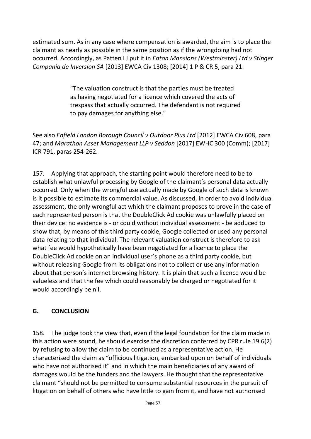estimated sum. As in any case where compensation is awarded, the aim is to place the claimant as nearly as possible in the same position as if the wrongdoing had not occurred. Accordingly, as Patten LJ put it in *Eaton Mansions (Westminster) Ltd v Stinger Compania de Inversion SA* [2013] EWCA Civ 1308; [2014] 1 P & CR 5, para 21:

> "The valuation construct is that the parties must be treated as having negotiated for a licence which covered the acts of trespass that actually occurred. The defendant is not required to pay damages for anything else."

See also *Enfield London Borough Council v Outdoor Plus Ltd* [2012] EWCA Civ 608, para 47; and *Marathon Asset Management LLP v Seddon* [2017] EWHC 300 (Comm); [2017] ICR 791, paras 254-262.

157. Applying that approach, the starting point would therefore need to be to establish what unlawful processing by Google of the claimant's personal data actually occurred. Only when the wrongful use actually made by Google of such data is known is it possible to estimate its commercial value. As discussed, in order to avoid individual assessment, the only wrongful act which the claimant proposes to prove in the case of each represented person is that the DoubleClick Ad cookie was unlawfully placed on their device: no evidence is - or could without individual assessment - be adduced to show that, by means of this third party cookie, Google collected or used any personal data relating to that individual. The relevant valuation construct is therefore to ask what fee would hypothetically have been negotiated for a licence to place the DoubleClick Ad cookie on an individual user's phone as a third party cookie, but without releasing Google from its obligations not to collect or use any information about that person's internet browsing history. It is plain that such a licence would be valueless and that the fee which could reasonably be charged or negotiated for it would accordingly be nil.

#### **G. CONCLUSION**

158. The judge took the view that, even if the legal foundation for the claim made in this action were sound, he should exercise the discretion conferred by CPR rule 19.6(2) by refusing to allow the claim to be continued as a representative action. He characterised the claim as "officious litigation, embarked upon on behalf of individuals who have not authorised it" and in which the main beneficiaries of any award of damages would be the funders and the lawyers. He thought that the representative claimant "should not be permitted to consume substantial resources in the pursuit of litigation on behalf of others who have little to gain from it, and have not authorised